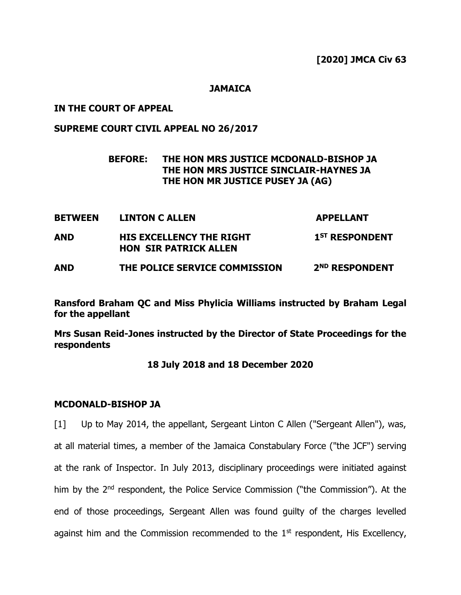### **JAMAICA**

### **IN THE COURT OF APPEAL**

## **SUPREME COURT CIVIL APPEAL NO 26/2017**

## **BEFORE: THE HON MRS JUSTICE MCDONALD-BISHOP JA THE HON MRS JUSTICE SINCLAIR-HAYNES JA THE HON MR JUSTICE PUSEY JA (AG)**

| <b>BETWEEN</b> | <b>LINTON C ALLEN</b>                                           | <b>APPELLANT</b>           |
|----------------|-----------------------------------------------------------------|----------------------------|
| <b>AND</b>     | <b>HIS EXCELLENCY THE RIGHT</b><br><b>HON SIR PATRICK ALLEN</b> | 1 <sup>ST</sup> RESPONDENT |
| <b>AND</b>     | THE POLICE SERVICE COMMISSION                                   | 2 <sup>ND</sup> RESPONDENT |

**Ransford Braham QC and Miss Phylicia Williams instructed by Braham Legal for the appellant**

**Mrs Susan Reid-Jones instructed by the Director of State Proceedings for the respondents**

#### **18 July 2018 and 18 December 2020**

#### **MCDONALD-BISHOP JA**

[1] Up to May 2014, the appellant, Sergeant Linton C Allen ("Sergeant Allen"), was, at all material times, a member of the Jamaica Constabulary Force ("the JCF") serving at the rank of Inspector. In July 2013, disciplinary proceedings were initiated against him by the 2<sup>nd</sup> respondent, the Police Service Commission ("the Commission"). At the end of those proceedings, Sergeant Allen was found guilty of the charges levelled against him and the Commission recommended to the  $1<sup>st</sup>$  respondent, His Excellency,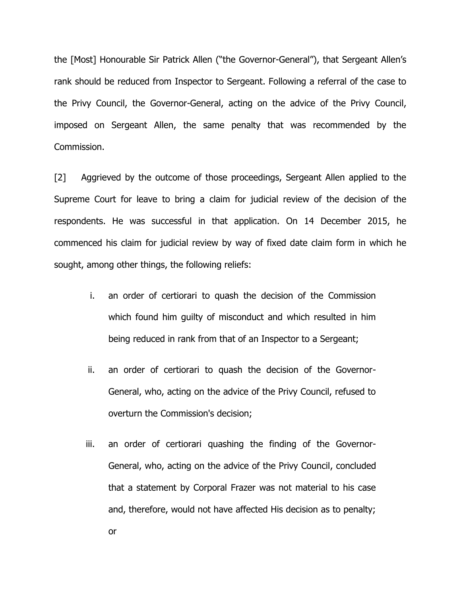the [Most] Honourable Sir Patrick Allen ("the Governor-General"), that Sergeant Allen's rank should be reduced from Inspector to Sergeant. Following a referral of the case to the Privy Council, the Governor-General, acting on the advice of the Privy Council, imposed on Sergeant Allen, the same penalty that was recommended by the Commission.

[2] Aggrieved by the outcome of those proceedings, Sergeant Allen applied to the Supreme Court for leave to bring a claim for judicial review of the decision of the respondents. He was successful in that application. On 14 December 2015, he commenced his claim for judicial review by way of fixed date claim form in which he sought, among other things, the following reliefs:

- i. an order of certiorari to quash the decision of the Commission which found him guilty of misconduct and which resulted in him being reduced in rank from that of an Inspector to a Sergeant;
- ii. an order of certiorari to quash the decision of the Governor-General, who, acting on the advice of the Privy Council, refused to overturn the Commission's decision;
- iii. an order of certiorari quashing the finding of the Governor-General, who, acting on the advice of the Privy Council, concluded that a statement by Corporal Frazer was not material to his case and, therefore, would not have affected His decision as to penalty; or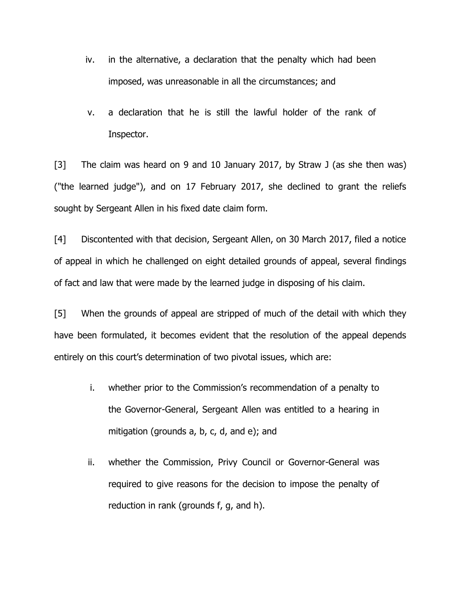- iv. in the alternative, a declaration that the penalty which had been imposed, was unreasonable in all the circumstances; and
- v. a declaration that he is still the lawful holder of the rank of Inspector.

[3] The claim was heard on 9 and 10 January 2017, by Straw J (as she then was) ("the learned judge"), and on 17 February 2017, she declined to grant the reliefs sought by Sergeant Allen in his fixed date claim form.

[4] Discontented with that decision, Sergeant Allen, on 30 March 2017, filed a notice of appeal in which he challenged on eight detailed grounds of appeal, several findings of fact and law that were made by the learned judge in disposing of his claim.

[5] When the grounds of appeal are stripped of much of the detail with which they have been formulated, it becomes evident that the resolution of the appeal depends entirely on this court's determination of two pivotal issues, which are:

- i. whether prior to the Commission's recommendation of a penalty to the Governor-General, Sergeant Allen was entitled to a hearing in mitigation (grounds a, b, c, d, and e); and
- ii. whether the Commission, Privy Council or Governor-General was required to give reasons for the decision to impose the penalty of reduction in rank (grounds f, g, and h).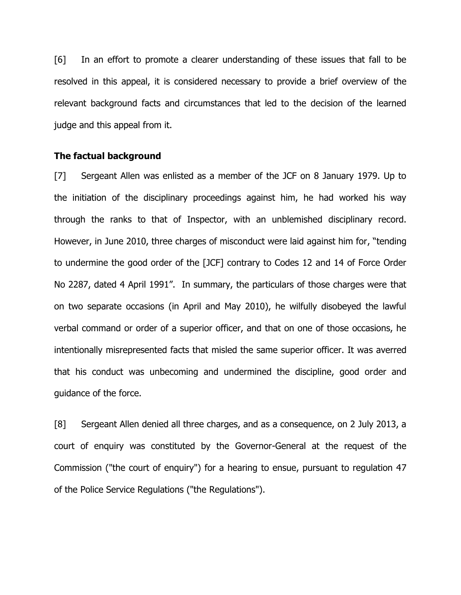[6] In an effort to promote a clearer understanding of these issues that fall to be resolved in this appeal, it is considered necessary to provide a brief overview of the relevant background facts and circumstances that led to the decision of the learned judge and this appeal from it.

#### **The factual background**

[7] Sergeant Allen was enlisted as a member of the JCF on 8 January 1979. Up to the initiation of the disciplinary proceedings against him, he had worked his way through the ranks to that of Inspector, with an unblemished disciplinary record. However, in June 2010, three charges of misconduct were laid against him for, "tending to undermine the good order of the [JCF] contrary to Codes 12 and 14 of Force Order No 2287, dated 4 April 1991". In summary, the particulars of those charges were that on two separate occasions (in April and May 2010), he wilfully disobeyed the lawful verbal command or order of a superior officer, and that on one of those occasions, he intentionally misrepresented facts that misled the same superior officer. It was averred that his conduct was unbecoming and undermined the discipline, good order and guidance of the force.

[8] Sergeant Allen denied all three charges, and as a consequence, on 2 July 2013, a court of enquiry was constituted by the Governor-General at the request of the Commission ("the court of enquiry") for a hearing to ensue, pursuant to regulation 47 of the Police Service Regulations ("the Regulations").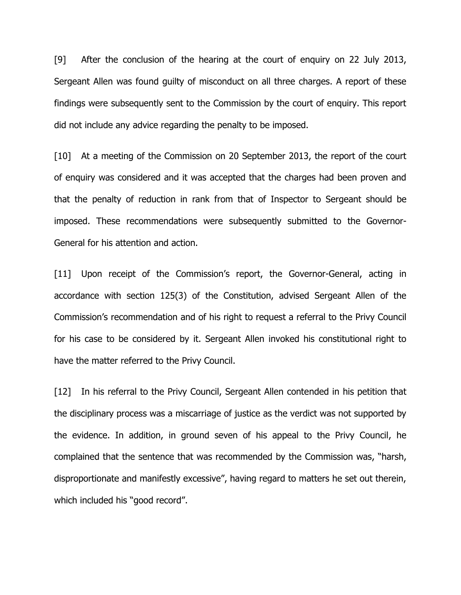[9] After the conclusion of the hearing at the court of enquiry on 22 July 2013, Sergeant Allen was found guilty of misconduct on all three charges. A report of these findings were subsequently sent to the Commission by the court of enquiry. This report did not include any advice regarding the penalty to be imposed.

[10] At a meeting of the Commission on 20 September 2013, the report of the court of enquiry was considered and it was accepted that the charges had been proven and that the penalty of reduction in rank from that of Inspector to Sergeant should be imposed. These recommendations were subsequently submitted to the Governor-General for his attention and action.

[11] Upon receipt of the Commission's report, the Governor-General, acting in accordance with section 125(3) of the Constitution, advised Sergeant Allen of the Commission's recommendation and of his right to request a referral to the Privy Council for his case to be considered by it. Sergeant Allen invoked his constitutional right to have the matter referred to the Privy Council.

[12] In his referral to the Privy Council, Sergeant Allen contended in his petition that the disciplinary process was a miscarriage of justice as the verdict was not supported by the evidence. In addition, in ground seven of his appeal to the Privy Council, he complained that the sentence that was recommended by the Commission was, "harsh, disproportionate and manifestly excessive", having regard to matters he set out therein, which included his "good record".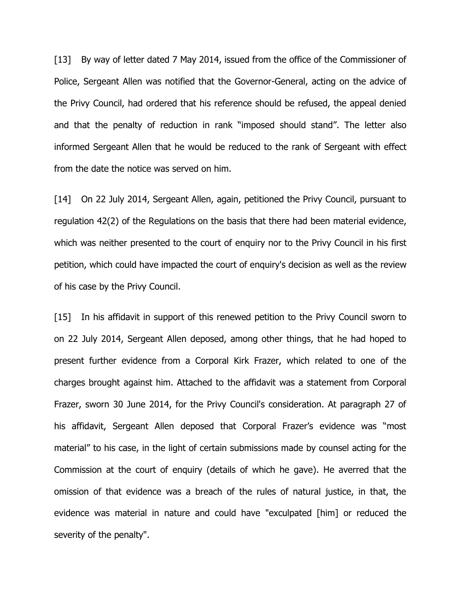[13] By way of letter dated 7 May 2014, issued from the office of the Commissioner of Police, Sergeant Allen was notified that the Governor-General, acting on the advice of the Privy Council, had ordered that his reference should be refused, the appeal denied and that the penalty of reduction in rank "imposed should stand". The letter also informed Sergeant Allen that he would be reduced to the rank of Sergeant with effect from the date the notice was served on him.

[14] On 22 July 2014, Sergeant Allen, again, petitioned the Privy Council, pursuant to regulation 42(2) of the Regulations on the basis that there had been material evidence, which was neither presented to the court of enquiry nor to the Privy Council in his first petition, which could have impacted the court of enquiry's decision as well as the review of his case by the Privy Council.

[15] In his affidavit in support of this renewed petition to the Privy Council sworn to on 22 July 2014, Sergeant Allen deposed, among other things, that he had hoped to present further evidence from a Corporal Kirk Frazer, which related to one of the charges brought against him. Attached to the affidavit was a statement from Corporal Frazer, sworn 30 June 2014, for the Privy Council's consideration. At paragraph 27 of his affidavit, Sergeant Allen deposed that Corporal Frazer's evidence was "most material" to his case, in the light of certain submissions made by counsel acting for the Commission at the court of enquiry (details of which he gave). He averred that the omission of that evidence was a breach of the rules of natural justice, in that, the evidence was material in nature and could have "exculpated [him] or reduced the severity of the penalty".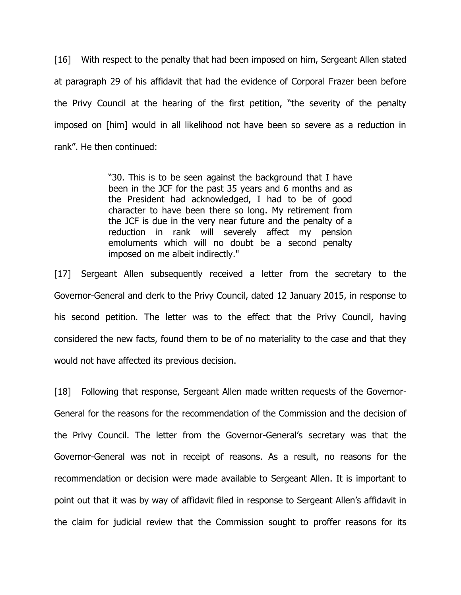[16] With respect to the penalty that had been imposed on him, Sergeant Allen stated at paragraph 29 of his affidavit that had the evidence of Corporal Frazer been before the Privy Council at the hearing of the first petition, "the severity of the penalty imposed on [him] would in all likelihood not have been so severe as a reduction in rank". He then continued:

> "30. This is to be seen against the background that I have been in the JCF for the past 35 years and 6 months and as the President had acknowledged, I had to be of good character to have been there so long. My retirement from the JCF is due in the very near future and the penalty of a reduction in rank will severely affect my pension emoluments which will no doubt be a second penalty imposed on me albeit indirectly."

[17] Sergeant Allen subsequently received a letter from the secretary to the Governor-General and clerk to the Privy Council, dated 12 January 2015, in response to his second petition. The letter was to the effect that the Privy Council, having considered the new facts, found them to be of no materiality to the case and that they would not have affected its previous decision.

[18] Following that response, Sergeant Allen made written requests of the Governor-General for the reasons for the recommendation of the Commission and the decision of the Privy Council. The letter from the Governor-General's secretary was that the Governor-General was not in receipt of reasons. As a result, no reasons for the recommendation or decision were made available to Sergeant Allen. It is important to point out that it was by way of affidavit filed in response to Sergeant Allen's affidavit in the claim for judicial review that the Commission sought to proffer reasons for its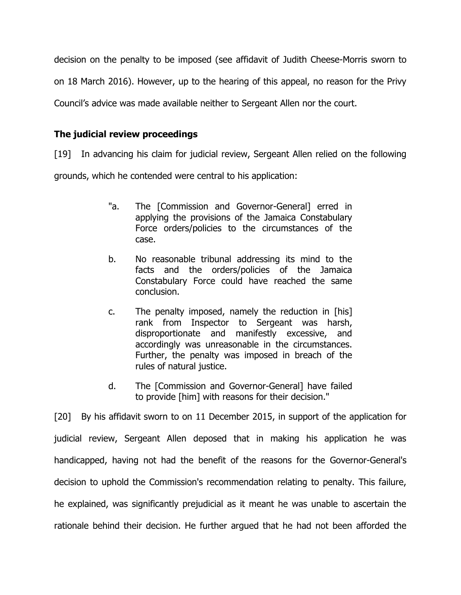decision on the penalty to be imposed (see affidavit of Judith Cheese-Morris sworn to on 18 March 2016). However, up to the hearing of this appeal, no reason for the Privy Council's advice was made available neither to Sergeant Allen nor the court.

## **The judicial review proceedings**

[19] In advancing his claim for judicial review, Sergeant Allen relied on the following

grounds, which he contended were central to his application:

- "a. The [Commission and Governor-General] erred in applying the provisions of the Jamaica Constabulary Force orders/policies to the circumstances of the case.
- b. No reasonable tribunal addressing its mind to the facts and the orders/policies of the Jamaica Constabulary Force could have reached the same conclusion.
- c. The penalty imposed, namely the reduction in [his] rank from Inspector to Sergeant was harsh, disproportionate and manifestly excessive, and accordingly was unreasonable in the circumstances. Further, the penalty was imposed in breach of the rules of natural justice.
- d. The [Commission and Governor-General] have failed to provide [him] with reasons for their decision."

[20] By his affidavit sworn to on 11 December 2015, in support of the application for judicial review, Sergeant Allen deposed that in making his application he was handicapped, having not had the benefit of the reasons for the Governor-General's decision to uphold the Commission's recommendation relating to penalty. This failure, he explained, was significantly prejudicial as it meant he was unable to ascertain the rationale behind their decision. He further argued that he had not been afforded the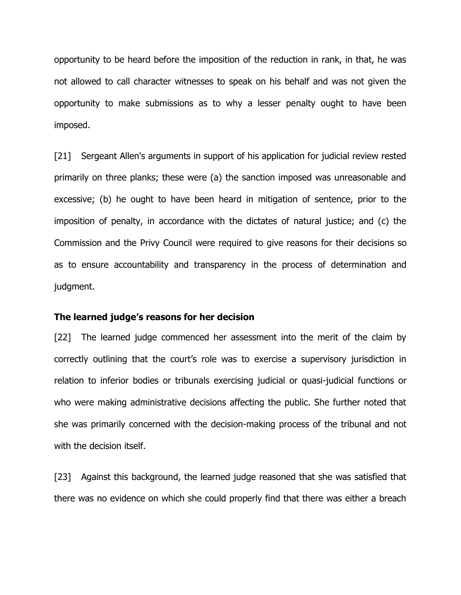opportunity to be heard before the imposition of the reduction in rank, in that, he was not allowed to call character witnesses to speak on his behalf and was not given the opportunity to make submissions as to why a lesser penalty ought to have been imposed.

[21] Sergeant Allen's arguments in support of his application for judicial review rested primarily on three planks; these were (a) the sanction imposed was unreasonable and excessive; (b) he ought to have been heard in mitigation of sentence, prior to the imposition of penalty, in accordance with the dictates of natural justice; and (c) the Commission and the Privy Council were required to give reasons for their decisions so as to ensure accountability and transparency in the process of determination and judgment.

### **The learned judge's reasons for her decision**

[22] The learned judge commenced her assessment into the merit of the claim by correctly outlining that the court's role was to exercise a supervisory jurisdiction in relation to inferior bodies or tribunals exercising judicial or quasi-judicial functions or who were making administrative decisions affecting the public. She further noted that she was primarily concerned with the decision-making process of the tribunal and not with the decision itself.

[23] Against this background, the learned judge reasoned that she was satisfied that there was no evidence on which she could properly find that there was either a breach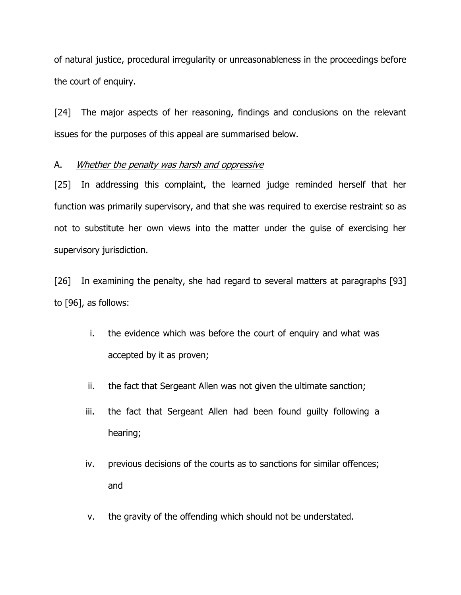of natural justice, procedural irregularity or unreasonableness in the proceedings before the court of enquiry.

[24] The major aspects of her reasoning, findings and conclusions on the relevant issues for the purposes of this appeal are summarised below.

## A. Whether the penalty was harsh and oppressive

[25] In addressing this complaint, the learned judge reminded herself that her function was primarily supervisory, and that she was required to exercise restraint so as not to substitute her own views into the matter under the guise of exercising her supervisory jurisdiction.

[26] In examining the penalty, she had regard to several matters at paragraphs [93] to [96], as follows:

- i. the evidence which was before the court of enquiry and what was accepted by it as proven;
- ii. the fact that Sergeant Allen was not given the ultimate sanction;
- iii. the fact that Sergeant Allen had been found guilty following a hearing;
- iv. previous decisions of the courts as to sanctions for similar offences; and
- v. the gravity of the offending which should not be understated.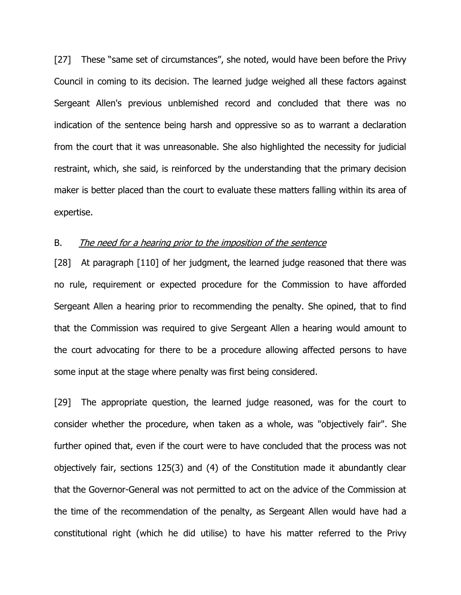[27] These "same set of circumstances", she noted, would have been before the Privy Council in coming to its decision. The learned judge weighed all these factors against Sergeant Allen's previous unblemished record and concluded that there was no indication of the sentence being harsh and oppressive so as to warrant a declaration from the court that it was unreasonable. She also highlighted the necessity for judicial restraint, which, she said, is reinforced by the understanding that the primary decision maker is better placed than the court to evaluate these matters falling within its area of expertise.

### B. The need for a hearing prior to the imposition of the sentence

[28] At paragraph [110] of her judgment, the learned judge reasoned that there was no rule, requirement or expected procedure for the Commission to have afforded Sergeant Allen a hearing prior to recommending the penalty. She opined, that to find that the Commission was required to give Sergeant Allen a hearing would amount to the court advocating for there to be a procedure allowing affected persons to have some input at the stage where penalty was first being considered.

[29] The appropriate question, the learned judge reasoned, was for the court to consider whether the procedure, when taken as a whole, was "objectively fair". She further opined that, even if the court were to have concluded that the process was not objectively fair, sections 125(3) and (4) of the Constitution made it abundantly clear that the Governor-General was not permitted to act on the advice of the Commission at the time of the recommendation of the penalty, as Sergeant Allen would have had a constitutional right (which he did utilise) to have his matter referred to the Privy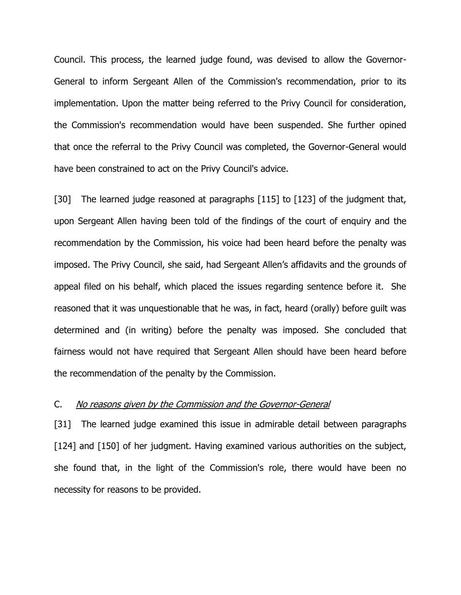Council. This process, the learned judge found, was devised to allow the Governor-General to inform Sergeant Allen of the Commission's recommendation, prior to its implementation. Upon the matter being referred to the Privy Council for consideration, the Commission's recommendation would have been suspended. She further opined that once the referral to the Privy Council was completed, the Governor-General would have been constrained to act on the Privy Council's advice.

[30] The learned judge reasoned at paragraphs [115] to [123] of the judgment that, upon Sergeant Allen having been told of the findings of the court of enquiry and the recommendation by the Commission, his voice had been heard before the penalty was imposed. The Privy Council, she said, had Sergeant Allen's affidavits and the grounds of appeal filed on his behalf, which placed the issues regarding sentence before it. She reasoned that it was unquestionable that he was, in fact, heard (orally) before guilt was determined and (in writing) before the penalty was imposed. She concluded that fairness would not have required that Sergeant Allen should have been heard before the recommendation of the penalty by the Commission.

### C. No reasons given by the Commission and the Governor-General

[31] The learned judge examined this issue in admirable detail between paragraphs [124] and [150] of her judgment. Having examined various authorities on the subject, she found that, in the light of the Commission's role, there would have been no necessity for reasons to be provided.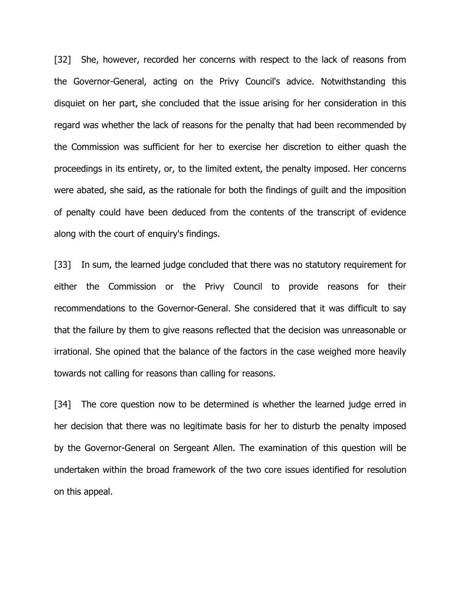[32] She, however, recorded her concerns with respect to the lack of reasons from the Governor-General, acting on the Privy Council's advice. Notwithstanding this disquiet on her part, she concluded that the issue arising for her consideration in this regard was whether the lack of reasons for the penalty that had been recommended by the Commission was sufficient for her to exercise her discretion to either quash the proceedings in its entirety, or, to the limited extent, the penalty imposed. Her concerns were abated, she said, as the rationale for both the findings of guilt and the imposition of penalty could have been deduced from the contents of the transcript of evidence along with the court of enquiry's findings.

[33] In sum, the learned judge concluded that there was no statutory requirement for either the Commission or the Privy Council to provide reasons for their recommendations to the Governor-General. She considered that it was difficult to say that the failure by them to give reasons reflected that the decision was unreasonable or irrational. She opined that the balance of the factors in the case weighed more heavily towards not calling for reasons than calling for reasons.

[34] The core question now to be determined is whether the learned judge erred in her decision that there was no legitimate basis for her to disturb the penalty imposed by the Governor-General on Sergeant Allen. The examination of this question will be undertaken within the broad framework of the two core issues identified for resolution on this appeal.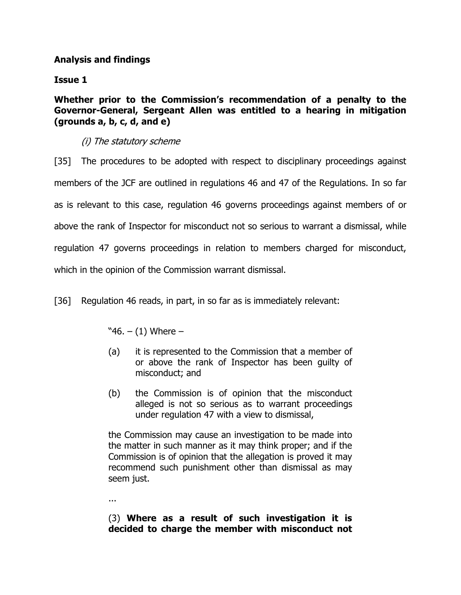## **Analysis and findings**

**Issue 1**

**Whether prior to the Commission's recommendation of a penalty to the Governor-General, Sergeant Allen was entitled to a hearing in mitigation (grounds a, b, c, d, and e)**

# (i) The statutory scheme

[35] The procedures to be adopted with respect to disciplinary proceedings against members of the JCF are outlined in regulations 46 and 47 of the Regulations. In so far as is relevant to this case, regulation 46 governs proceedings against members of or above the rank of Inspector for misconduct not so serious to warrant a dismissal, while regulation 47 governs proceedings in relation to members charged for misconduct, which in the opinion of the Commission warrant dismissal.

[36] Regulation 46 reads, in part, in so far as is immediately relevant:

 $"46. - (1)$  Where  $-$ 

- (a) it is represented to the Commission that a member of or above the rank of Inspector has been guilty of misconduct; and
- (b) the Commission is of opinion that the misconduct alleged is not so serious as to warrant proceedings under regulation 47 with a view to dismissal,

the Commission may cause an investigation to be made into the matter in such manner as it may think proper; and if the Commission is of opinion that the allegation is proved it may recommend such punishment other than dismissal as may seem just.

...

(3) **Where as a result of such investigation it is decided to charge the member with misconduct not**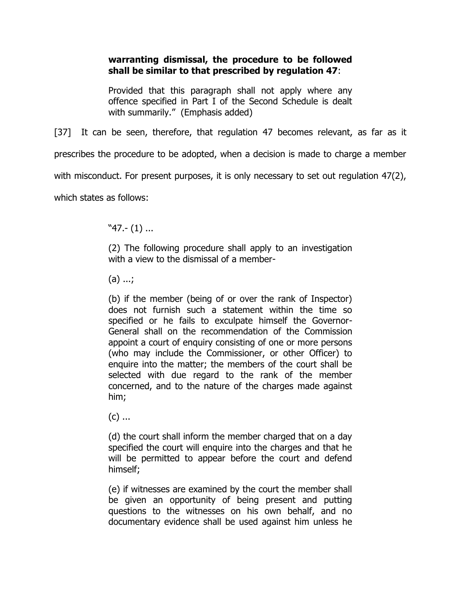## **warranting dismissal, the procedure to be followed shall be similar to that prescribed by regulation 47**:

Provided that this paragraph shall not apply where any offence specified in Part I of the Second Schedule is dealt with summarily." (Emphasis added)

[37] It can be seen, therefore, that regulation 47 becomes relevant, as far as it prescribes the procedure to be adopted, when a decision is made to charge a member with misconduct. For present purposes, it is only necessary to set out regulation 47(2), which states as follows:

"47.- (1) ...

(2) The following procedure shall apply to an investigation with a view to the dismissal of a member-

(a) ...;

(b) if the member (being of or over the rank of Inspector) does not furnish such a statement within the time so specified or he fails to exculpate himself the Governor-General shall on the recommendation of the Commission appoint a court of enquiry consisting of one or more persons (who may include the Commissioner, or other Officer) to enquire into the matter; the members of the court shall be selected with due regard to the rank of the member concerned, and to the nature of the charges made against him;

 $(c)$  ...

(d) the court shall inform the member charged that on a day specified the court will enquire into the charges and that he will be permitted to appear before the court and defend himself;

(e) if witnesses are examined by the court the member shall be given an opportunity of being present and putting questions to the witnesses on his own behalf, and no documentary evidence shall be used against him unless he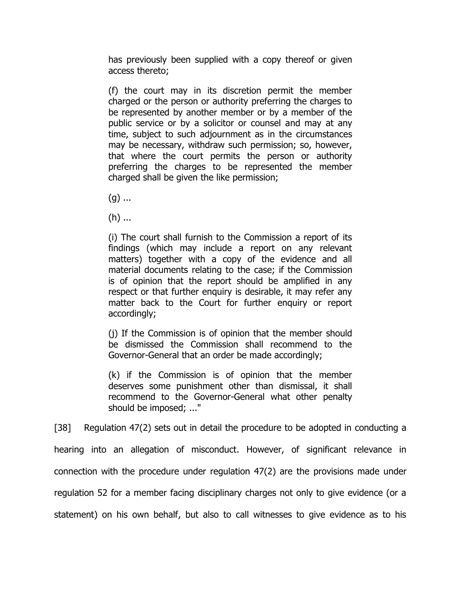has previously been supplied with a copy thereof or given access thereto;

(f) the court may in its discretion permit the member charged or the person or authority preferring the charges to be represented by another member or by a member of the public service or by a solicitor or counsel and may at any time, subject to such adjournment as in the circumstances may be necessary, withdraw such permission; so, however, that where the court permits the person or authority preferring the charges to be represented the member charged shall be given the like permission;

 $(g)$  ...

(h) ...

(i) The court shall furnish to the Commission a report of its findings (which may include a report on any relevant matters) together with a copy of the evidence and all material documents relating to the case; if the Commission is of opinion that the report should be amplified in any respect or that further enquiry is desirable, it may refer any matter back to the Court for further enquiry or report accordingly;

(j) If the Commission is of opinion that the member should be dismissed the Commission shall recommend to the Governor-General that an order be made accordingly;

(k) if the Commission is of opinion that the member deserves some punishment other than dismissal, it shall recommend to the Governor-General what other penalty should be imposed; ..."

[38] Regulation 47(2) sets out in detail the procedure to be adopted in conducting a hearing into an allegation of misconduct. However, of significant relevance in connection with the procedure under regulation 47(2) are the provisions made under regulation 52 for a member facing disciplinary charges not only to give evidence (or a statement) on his own behalf, but also to call witnesses to give evidence as to his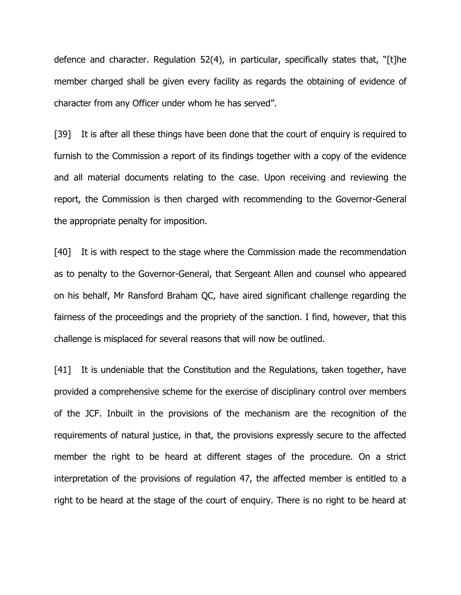defence and character. Regulation 52(4), in particular, specifically states that, "[t]he member charged shall be given every facility as regards the obtaining of evidence of character from any Officer under whom he has served".

[39] It is after all these things have been done that the court of enquiry is required to furnish to the Commission a report of its findings together with a copy of the evidence and all material documents relating to the case. Upon receiving and reviewing the report, the Commission is then charged with recommending to the Governor-General the appropriate penalty for imposition.

[40] It is with respect to the stage where the Commission made the recommendation as to penalty to the Governor-General, that Sergeant Allen and counsel who appeared on his behalf, Mr Ransford Braham QC, have aired significant challenge regarding the fairness of the proceedings and the propriety of the sanction. I find, however, that this challenge is misplaced for several reasons that will now be outlined.

[41] It is undeniable that the Constitution and the Regulations, taken together, have provided a comprehensive scheme for the exercise of disciplinary control over members of the JCF. Inbuilt in the provisions of the mechanism are the recognition of the requirements of natural justice, in that, the provisions expressly secure to the affected member the right to be heard at different stages of the procedure. On a strict interpretation of the provisions of regulation 47, the affected member is entitled to a right to be heard at the stage of the court of enquiry. There is no right to be heard at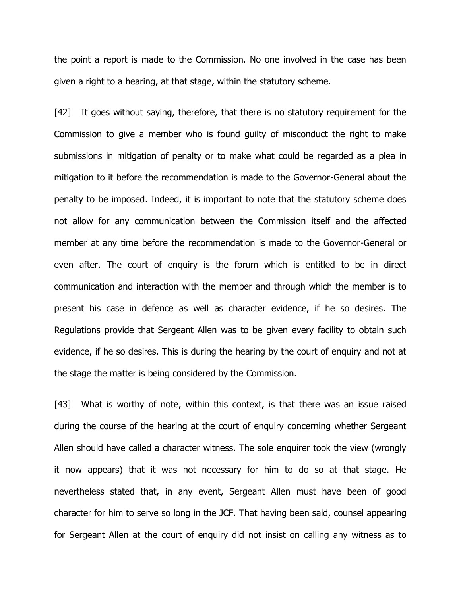the point a report is made to the Commission. No one involved in the case has been given a right to a hearing, at that stage, within the statutory scheme.

[42] It goes without saying, therefore, that there is no statutory requirement for the Commission to give a member who is found guilty of misconduct the right to make submissions in mitigation of penalty or to make what could be regarded as a plea in mitigation to it before the recommendation is made to the Governor-General about the penalty to be imposed. Indeed, it is important to note that the statutory scheme does not allow for any communication between the Commission itself and the affected member at any time before the recommendation is made to the Governor-General or even after. The court of enquiry is the forum which is entitled to be in direct communication and interaction with the member and through which the member is to present his case in defence as well as character evidence, if he so desires. The Regulations provide that Sergeant Allen was to be given every facility to obtain such evidence, if he so desires. This is during the hearing by the court of enquiry and not at the stage the matter is being considered by the Commission.

[43] What is worthy of note, within this context, is that there was an issue raised during the course of the hearing at the court of enquiry concerning whether Sergeant Allen should have called a character witness. The sole enquirer took the view (wrongly it now appears) that it was not necessary for him to do so at that stage. He nevertheless stated that, in any event, Sergeant Allen must have been of good character for him to serve so long in the JCF. That having been said, counsel appearing for Sergeant Allen at the court of enquiry did not insist on calling any witness as to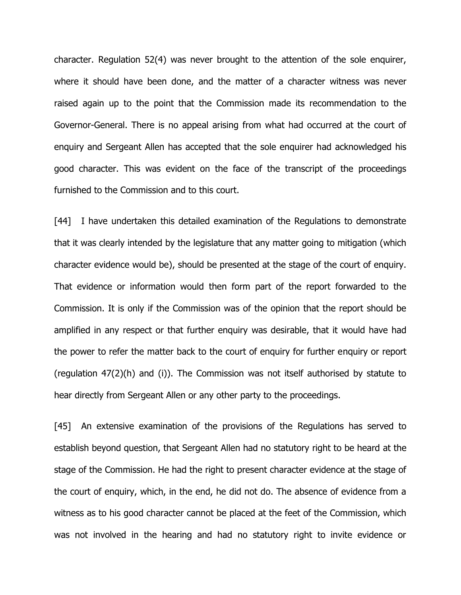character. Regulation 52(4) was never brought to the attention of the sole enquirer, where it should have been done, and the matter of a character witness was never raised again up to the point that the Commission made its recommendation to the Governor-General. There is no appeal arising from what had occurred at the court of enquiry and Sergeant Allen has accepted that the sole enquirer had acknowledged his good character. This was evident on the face of the transcript of the proceedings furnished to the Commission and to this court.

[44] I have undertaken this detailed examination of the Regulations to demonstrate that it was clearly intended by the legislature that any matter going to mitigation (which character evidence would be), should be presented at the stage of the court of enquiry. That evidence or information would then form part of the report forwarded to the Commission. It is only if the Commission was of the opinion that the report should be amplified in any respect or that further enquiry was desirable, that it would have had the power to refer the matter back to the court of enquiry for further enquiry or report (regulation 47(2)(h) and (i)). The Commission was not itself authorised by statute to hear directly from Sergeant Allen or any other party to the proceedings.

[45] An extensive examination of the provisions of the Regulations has served to establish beyond question, that Sergeant Allen had no statutory right to be heard at the stage of the Commission. He had the right to present character evidence at the stage of the court of enquiry, which, in the end, he did not do. The absence of evidence from a witness as to his good character cannot be placed at the feet of the Commission, which was not involved in the hearing and had no statutory right to invite evidence or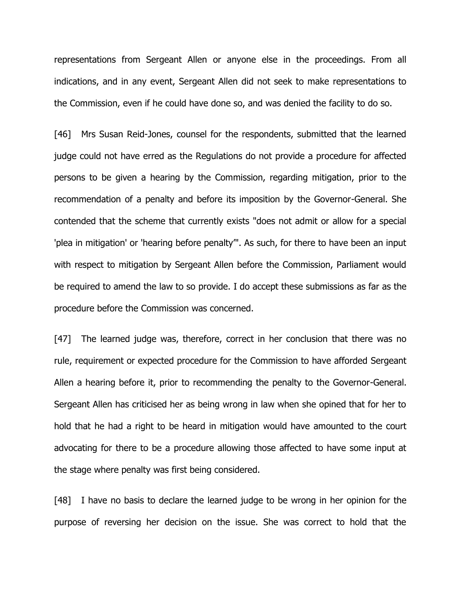representations from Sergeant Allen or anyone else in the proceedings. From all indications, and in any event, Sergeant Allen did not seek to make representations to the Commission, even if he could have done so, and was denied the facility to do so.

[46] Mrs Susan Reid-Jones, counsel for the respondents, submitted that the learned judge could not have erred as the Regulations do not provide a procedure for affected persons to be given a hearing by the Commission, regarding mitigation, prior to the recommendation of a penalty and before its imposition by the Governor-General. She contended that the scheme that currently exists "does not admit or allow for a special 'plea in mitigation' or 'hearing before penalty'". As such, for there to have been an input with respect to mitigation by Sergeant Allen before the Commission, Parliament would be required to amend the law to so provide. I do accept these submissions as far as the procedure before the Commission was concerned.

[47] The learned judge was, therefore, correct in her conclusion that there was no rule, requirement or expected procedure for the Commission to have afforded Sergeant Allen a hearing before it, prior to recommending the penalty to the Governor-General. Sergeant Allen has criticised her as being wrong in law when she opined that for her to hold that he had a right to be heard in mitigation would have amounted to the court advocating for there to be a procedure allowing those affected to have some input at the stage where penalty was first being considered.

[48] I have no basis to declare the learned judge to be wrong in her opinion for the purpose of reversing her decision on the issue. She was correct to hold that the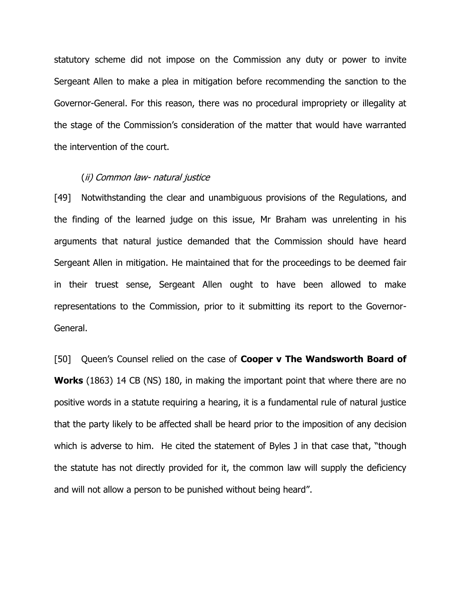statutory scheme did not impose on the Commission any duty or power to invite Sergeant Allen to make a plea in mitigation before recommending the sanction to the Governor-General. For this reason, there was no procedural impropriety or illegality at the stage of the Commission's consideration of the matter that would have warranted the intervention of the court.

### (ii) Common law- natural justice

[49] Notwithstanding the clear and unambiguous provisions of the Regulations, and the finding of the learned judge on this issue, Mr Braham was unrelenting in his arguments that natural justice demanded that the Commission should have heard Sergeant Allen in mitigation. He maintained that for the proceedings to be deemed fair in their truest sense, Sergeant Allen ought to have been allowed to make representations to the Commission, prior to it submitting its report to the Governor-General.

[50] Queen's Counsel relied on the case of **Cooper v The Wandsworth Board of Works** (1863) 14 CB (NS) 180, in making the important point that where there are no positive words in a statute requiring a hearing, it is a fundamental rule of natural justice that the party likely to be affected shall be heard prior to the imposition of any decision which is adverse to him. He cited the statement of Byles J in that case that, "though the statute has not directly provided for it, the common law will supply the deficiency and will not allow a person to be punished without being heard".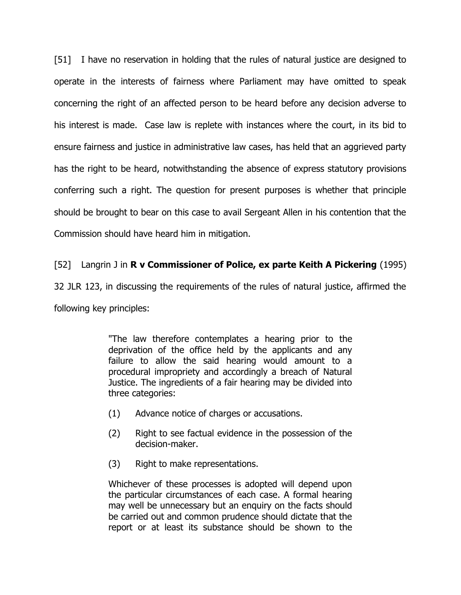[51] I have no reservation in holding that the rules of natural justice are designed to operate in the interests of fairness where Parliament may have omitted to speak concerning the right of an affected person to be heard before any decision adverse to his interest is made. Case law is replete with instances where the court, in its bid to ensure fairness and justice in administrative law cases, has held that an aggrieved party has the right to be heard, notwithstanding the absence of express statutory provisions conferring such a right. The question for present purposes is whether that principle should be brought to bear on this case to avail Sergeant Allen in his contention that the Commission should have heard him in mitigation.

## [52] Langrin J in **R v Commissioner of Police, ex parte Keith A Pickering** (1995)

32 JLR 123, in discussing the requirements of the rules of natural justice, affirmed the

following key principles:

"The law therefore contemplates a hearing prior to the deprivation of the office held by the applicants and any failure to allow the said hearing would amount to a procedural impropriety and accordingly a breach of Natural Justice. The ingredients of a fair hearing may be divided into three categories:

- (1) Advance notice of charges or accusations.
- (2) Right to see factual evidence in the possession of the decision-maker.
- (3) Right to make representations.

Whichever of these processes is adopted will depend upon the particular circumstances of each case. A formal hearing may well be unnecessary but an enquiry on the facts should be carried out and common prudence should dictate that the report or at least its substance should be shown to the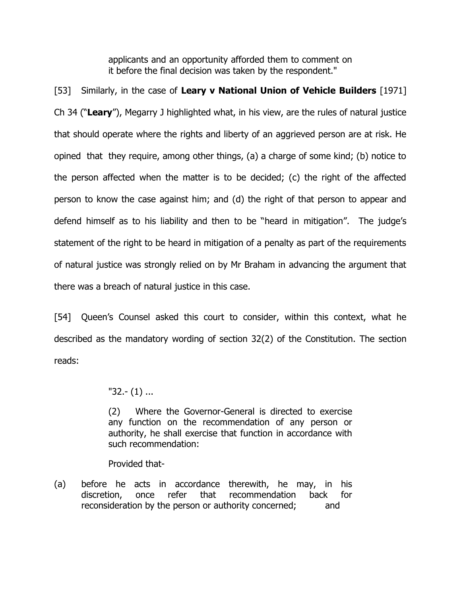applicants and an opportunity afforded them to comment on it before the final decision was taken by the respondent."

[53] Similarly, in the case of **Leary v National Union of Vehicle Builders** [1971] Ch 34 ("**Leary**"), Megarry J highlighted what, in his view, are the rules of natural justice that should operate where the rights and liberty of an aggrieved person are at risk. He opined that they require, among other things, (a) a charge of some kind; (b) notice to the person affected when the matter is to be decided; (c) the right of the affected person to know the case against him; and (d) the right of that person to appear and defend himself as to his liability and then to be "heard in mitigation". The judge's statement of the right to be heard in mitigation of a penalty as part of the requirements of natural justice was strongly relied on by Mr Braham in advancing the argument that there was a breach of natural justice in this case.

[54] Queen's Counsel asked this court to consider, within this context, what he described as the mandatory wording of section 32(2) of the Constitution. The section reads:

"32.- (1) ...

(2) Where the Governor-General is directed to exercise any function on the recommendation of any person or authority, he shall exercise that function in accordance with such recommendation:

Provided that-

(a) before he acts in accordance therewith, he may, in his discretion, once refer that recommendation back for reconsideration by the person or authority concerned; and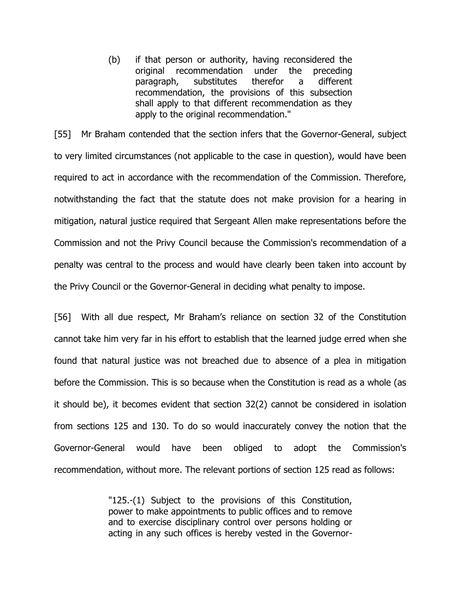(b) if that person or authority, having reconsidered the original recommendation under the preceding paragraph, substitutes therefor a different recommendation, the provisions of this subsection shall apply to that different recommendation as they apply to the original recommendation."

[55] Mr Braham contended that the section infers that the Governor-General, subject to very limited circumstances (not applicable to the case in question), would have been required to act in accordance with the recommendation of the Commission. Therefore, notwithstanding the fact that the statute does not make provision for a hearing in mitigation, natural justice required that Sergeant Allen make representations before the Commission and not the Privy Council because the Commission's recommendation of a penalty was central to the process and would have clearly been taken into account by the Privy Council or the Governor-General in deciding what penalty to impose.

[56] With all due respect, Mr Braham's reliance on section 32 of the Constitution cannot take him very far in his effort to establish that the learned judge erred when she found that natural justice was not breached due to absence of a plea in mitigation before the Commission. This is so because when the Constitution is read as a whole (as it should be), it becomes evident that section 32(2) cannot be considered in isolation from sections 125 and 130. To do so would inaccurately convey the notion that the Governor-General would have been obliged to adopt the Commission's recommendation, without more. The relevant portions of section 125 read as follows:

> "125.-(1) Subject to the provisions of this Constitution, power to make appointments to public offices and to remove and to exercise disciplinary control over persons holding or acting in any such offices is hereby vested in the Governor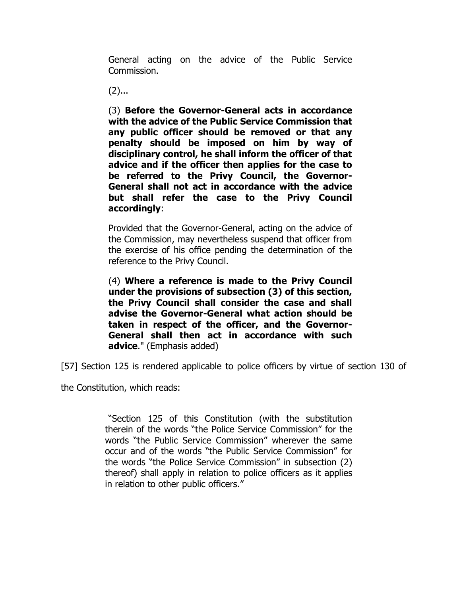General acting on the advice of the Public Service Commission.

 $(2)$ ...

(3) **Before the Governor-General acts in accordance with the advice of the Public Service Commission that any public officer should be removed or that any penalty should be imposed on him by way of disciplinary control, he shall inform the officer of that advice and if the officer then applies for the case to be referred to the Privy Council, the Governor-General shall not act in accordance with the advice but shall refer the case to the Privy Council accordingly**:

Provided that the Governor-General, acting on the advice of the Commission, may nevertheless suspend that officer from the exercise of his office pending the determination of the reference to the Privy Council.

(4) **Where a reference is made to the Privy Council under the provisions of subsection (3) of this section, the Privy Council shall consider the case and shall advise the Governor-General what action should be taken in respect of the officer, and the Governor-General shall then act in accordance with such advice**." (Emphasis added)

[57] Section 125 is rendered applicable to police officers by virtue of section 130 of

the Constitution, which reads:

"Section 125 of this Constitution (with the substitution therein of the words "the Police Service Commission" for the words "the Public Service Commission" wherever the same occur and of the words "the Public Service Commission" for the words "the Police Service Commission" in subsection (2) thereof) shall apply in relation to police officers as it applies in relation to other public officers."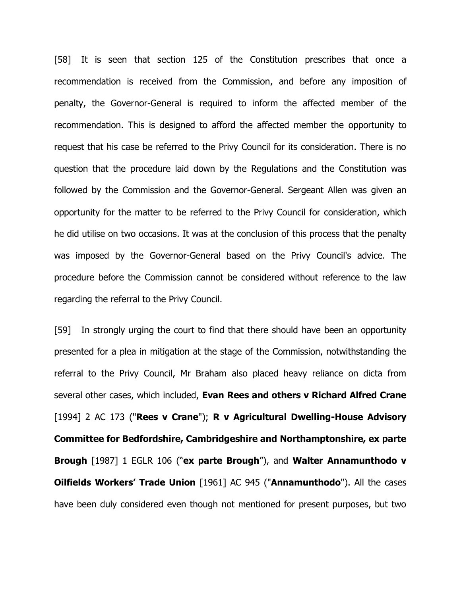[58] It is seen that section 125 of the Constitution prescribes that once a recommendation is received from the Commission, and before any imposition of penalty, the Governor-General is required to inform the affected member of the recommendation. This is designed to afford the affected member the opportunity to request that his case be referred to the Privy Council for its consideration. There is no question that the procedure laid down by the Regulations and the Constitution was followed by the Commission and the Governor-General. Sergeant Allen was given an opportunity for the matter to be referred to the Privy Council for consideration, which he did utilise on two occasions. It was at the conclusion of this process that the penalty was imposed by the Governor-General based on the Privy Council's advice. The procedure before the Commission cannot be considered without reference to the law regarding the referral to the Privy Council.

[59] In strongly urging the court to find that there should have been an opportunity presented for a plea in mitigation at the stage of the Commission, notwithstanding the referral to the Privy Council, Mr Braham also placed heavy reliance on dicta from several other cases, which included, **Evan Rees and others v Richard Alfred Crane**  [1994] 2 AC 173 ("**Rees v Crane**"); **R v Agricultural Dwelling-House Advisory Committee for Bedfordshire, Cambridgeshire and Northamptonshire, ex parte Brough** [1987] 1 EGLR 106 ("**ex parte Brough**"), and **Walter Annamunthodo v Oilfields Workers' Trade Union** [1961] AC 945 ("**Annamunthodo**"). All the cases have been duly considered even though not mentioned for present purposes, but two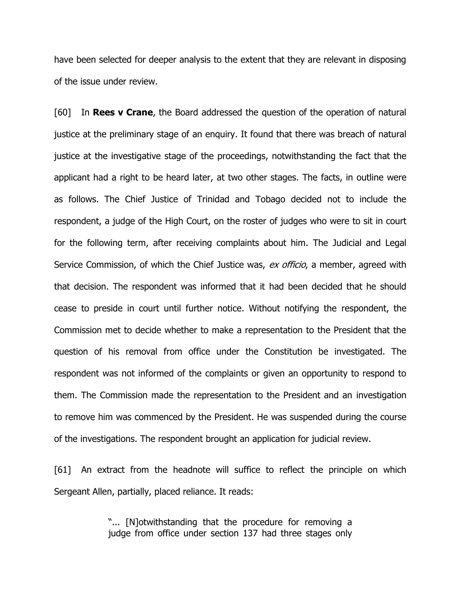have been selected for deeper analysis to the extent that they are relevant in disposing of the issue under review.

[60] In **Rees v Crane**, the Board addressed the question of the operation of natural justice at the preliminary stage of an enquiry. It found that there was breach of natural justice at the investigative stage of the proceedings, notwithstanding the fact that the applicant had a right to be heard later, at two other stages. The facts, in outline were as follows. The Chief Justice of Trinidad and Tobago decided not to include the respondent, a judge of the High Court, on the roster of judges who were to sit in court for the following term, after receiving complaints about him. The Judicial and Legal Service Commission, of which the Chief Justice was, ex officio, a member, agreed with that decision. The respondent was informed that it had been decided that he should cease to preside in court until further notice. Without notifying the respondent, the Commission met to decide whether to make a representation to the President that the question of his removal from office under the Constitution be investigated. The respondent was not informed of the complaints or given an opportunity to respond to them. The Commission made the representation to the President and an investigation to remove him was commenced by the President. He was suspended during the course of the investigations. The respondent brought an application for judicial review.

[61] An extract from the headnote will suffice to reflect the principle on which Sergeant Allen, partially, placed reliance. It reads:

> "... [N]otwithstanding that the procedure for removing a judge from office under section 137 had three stages only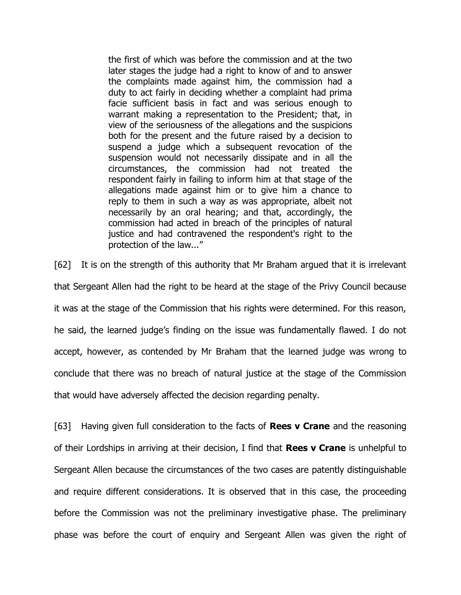the first of which was before the commission and at the two later stages the judge had a right to know of and to answer the complaints made against him, the commission had a duty to act fairly in deciding whether a complaint had prima facie sufficient basis in fact and was serious enough to warrant making a representation to the President; that, in view of the seriousness of the allegations and the suspicions both for the present and the future raised by a decision to suspend a judge which a subsequent revocation of the suspension would not necessarily dissipate and in all the circumstances, the commission had not treated the respondent fairly in failing to inform him at that stage of the allegations made against him or to give him a chance to reply to them in such a way as was appropriate, albeit not necessarily by an oral hearing; and that, accordingly, the commission had acted in breach of the principles of natural justice and had contravened the respondent's right to the protection of the law..."

[62] It is on the strength of this authority that Mr Braham argued that it is irrelevant that Sergeant Allen had the right to be heard at the stage of the Privy Council because it was at the stage of the Commission that his rights were determined. For this reason, he said, the learned judge's finding on the issue was fundamentally flawed. I do not accept, however, as contended by Mr Braham that the learned judge was wrong to conclude that there was no breach of natural justice at the stage of the Commission that would have adversely affected the decision regarding penalty.

[63] Having given full consideration to the facts of **Rees v Crane** and the reasoning of their Lordships in arriving at their decision, I find that **Rees v Crane** is unhelpful to Sergeant Allen because the circumstances of the two cases are patently distinguishable and require different considerations. It is observed that in this case, the proceeding before the Commission was not the preliminary investigative phase. The preliminary phase was before the court of enquiry and Sergeant Allen was given the right of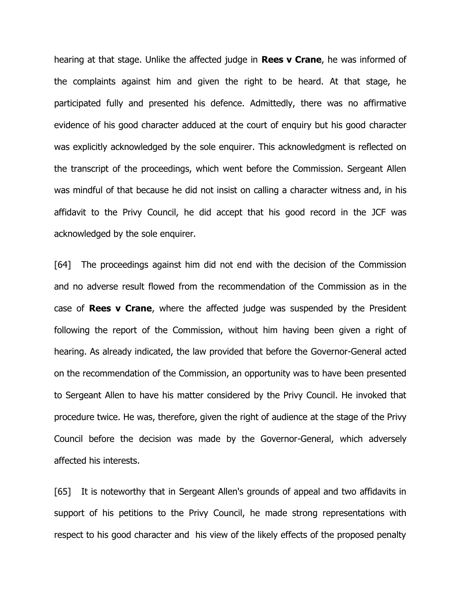hearing at that stage. Unlike the affected judge in **Rees v Crane**, he was informed of the complaints against him and given the right to be heard. At that stage, he participated fully and presented his defence. Admittedly, there was no affirmative evidence of his good character adduced at the court of enquiry but his good character was explicitly acknowledged by the sole enquirer. This acknowledgment is reflected on the transcript of the proceedings, which went before the Commission. Sergeant Allen was mindful of that because he did not insist on calling a character witness and, in his affidavit to the Privy Council, he did accept that his good record in the JCF was acknowledged by the sole enquirer.

[64] The proceedings against him did not end with the decision of the Commission and no adverse result flowed from the recommendation of the Commission as in the case of **Rees v Crane**, where the affected judge was suspended by the President following the report of the Commission, without him having been given a right of hearing. As already indicated, the law provided that before the Governor-General acted on the recommendation of the Commission, an opportunity was to have been presented to Sergeant Allen to have his matter considered by the Privy Council. He invoked that procedure twice. He was, therefore, given the right of audience at the stage of the Privy Council before the decision was made by the Governor-General, which adversely affected his interests.

[65] It is noteworthy that in Sergeant Allen's grounds of appeal and two affidavits in support of his petitions to the Privy Council, he made strong representations with respect to his good character and his view of the likely effects of the proposed penalty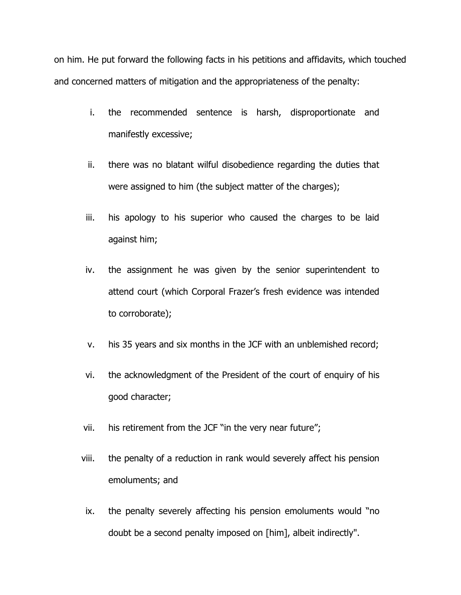on him. He put forward the following facts in his petitions and affidavits, which touched and concerned matters of mitigation and the appropriateness of the penalty:

- i. the recommended sentence is harsh, disproportionate and manifestly excessive;
- ii. there was no blatant wilful disobedience regarding the duties that were assigned to him (the subject matter of the charges);
- iii. his apology to his superior who caused the charges to be laid against him;
- iv. the assignment he was given by the senior superintendent to attend court (which Corporal Frazer's fresh evidence was intended to corroborate);
- v. his 35 years and six months in the JCF with an unblemished record;
- vi. the acknowledgment of the President of the court of enquiry of his good character;
- vii. his retirement from the JCF "in the very near future";
- viii. the penalty of a reduction in rank would severely affect his pension emoluments; and
- ix. the penalty severely affecting his pension emoluments would "no doubt be a second penalty imposed on [him], albeit indirectly".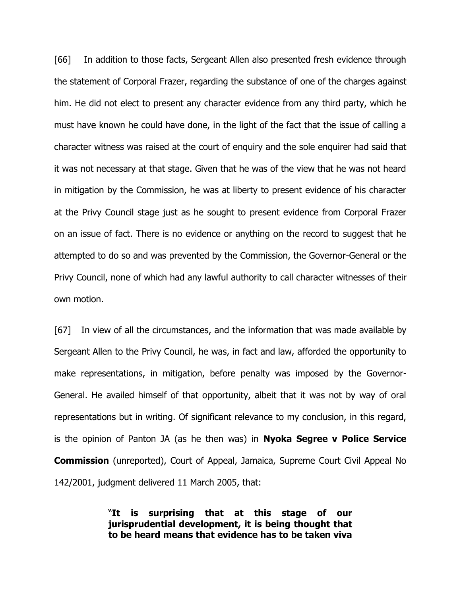[66] In addition to those facts, Sergeant Allen also presented fresh evidence through the statement of Corporal Frazer, regarding the substance of one of the charges against him. He did not elect to present any character evidence from any third party, which he must have known he could have done, in the light of the fact that the issue of calling a character witness was raised at the court of enquiry and the sole enquirer had said that it was not necessary at that stage. Given that he was of the view that he was not heard in mitigation by the Commission, he was at liberty to present evidence of his character at the Privy Council stage just as he sought to present evidence from Corporal Frazer on an issue of fact. There is no evidence or anything on the record to suggest that he attempted to do so and was prevented by the Commission, the Governor-General or the Privy Council, none of which had any lawful authority to call character witnesses of their own motion.

[67] In view of all the circumstances, and the information that was made available by Sergeant Allen to the Privy Council, he was, in fact and law, afforded the opportunity to make representations, in mitigation, before penalty was imposed by the Governor-General. He availed himself of that opportunity, albeit that it was not by way of oral representations but in writing. Of significant relevance to my conclusion, in this regard, is the opinion of Panton JA (as he then was) in **Nyoka Segree v Police Service Commission** (unreported), Court of Appeal, Jamaica, Supreme Court Civil Appeal No 142/2001, judgment delivered 11 March 2005, that:

> "**It is surprising that at this stage of our jurisprudential development, it is being thought that to be heard means that evidence has to be taken viva**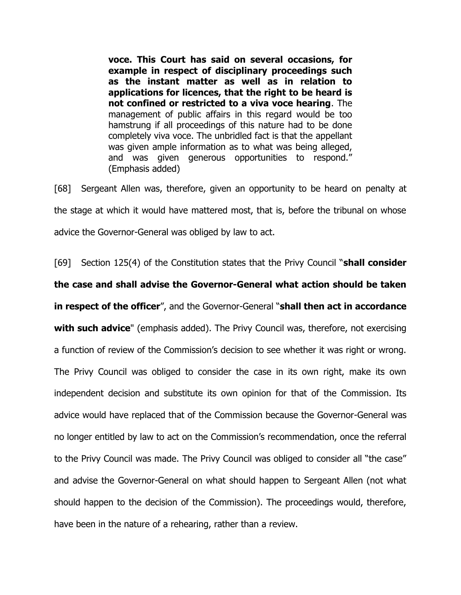**voce. This Court has said on several occasions, for example in respect of disciplinary proceedings such as the instant matter as well as in relation to applications for licences, that the right to be heard is not confined or restricted to a viva voce hearing**. The management of public affairs in this regard would be too hamstrung if all proceedings of this nature had to be done completely viva voce. The unbridled fact is that the appellant was given ample information as to what was being alleged, and was given generous opportunities to respond." (Emphasis added)

[68] Sergeant Allen was, therefore, given an opportunity to be heard on penalty at the stage at which it would have mattered most, that is, before the tribunal on whose advice the Governor-General was obliged by law to act.

[69] Section 125(4) of the Constitution states that the Privy Council "**shall consider the case and shall advise the Governor-General what action should be taken in respect of the officer**", and the Governor-General "**shall then act in accordance with such advice**" (emphasis added). The Privy Council was, therefore, not exercising a function of review of the Commission's decision to see whether it was right or wrong. The Privy Council was obliged to consider the case in its own right, make its own independent decision and substitute its own opinion for that of the Commission. Its advice would have replaced that of the Commission because the Governor-General was no longer entitled by law to act on the Commission's recommendation, once the referral to the Privy Council was made. The Privy Council was obliged to consider all "the case" and advise the Governor-General on what should happen to Sergeant Allen (not what should happen to the decision of the Commission). The proceedings would, therefore, have been in the nature of a rehearing, rather than a review.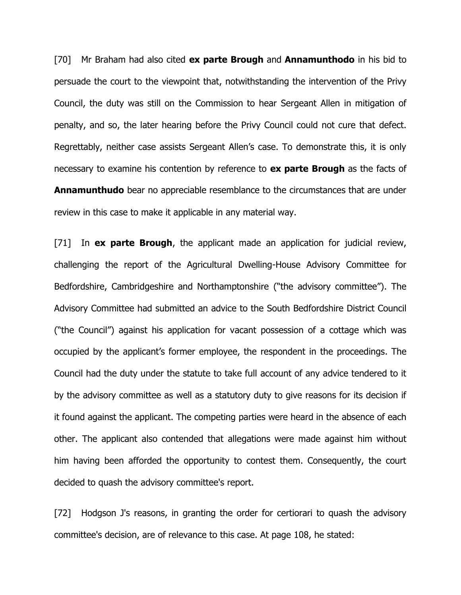[70] Mr Braham had also cited **ex parte Brough** and **Annamunthodo** in his bid to persuade the court to the viewpoint that, notwithstanding the intervention of the Privy Council, the duty was still on the Commission to hear Sergeant Allen in mitigation of penalty, and so, the later hearing before the Privy Council could not cure that defect. Regrettably, neither case assists Sergeant Allen's case. To demonstrate this, it is only necessary to examine his contention by reference to **ex parte Brough** as the facts of **Annamunthudo** bear no appreciable resemblance to the circumstances that are under review in this case to make it applicable in any material way.

[71] In **ex parte Brough**, the applicant made an application for judicial review, challenging the report of the Agricultural Dwelling-House Advisory Committee for Bedfordshire, Cambridgeshire and Northamptonshire ("the advisory committee"). The Advisory Committee had submitted an advice to the South Bedfordshire District Council ("the Council") against his application for vacant possession of a cottage which was occupied by the applicant's former employee, the respondent in the proceedings. The Council had the duty under the statute to take full account of any advice tendered to it by the advisory committee as well as a statutory duty to give reasons for its decision if it found against the applicant. The competing parties were heard in the absence of each other. The applicant also contended that allegations were made against him without him having been afforded the opportunity to contest them. Consequently, the court decided to quash the advisory committee's report.

[72] Hodgson J's reasons, in granting the order for certiorari to guash the advisory committee's decision, are of relevance to this case. At page 108, he stated: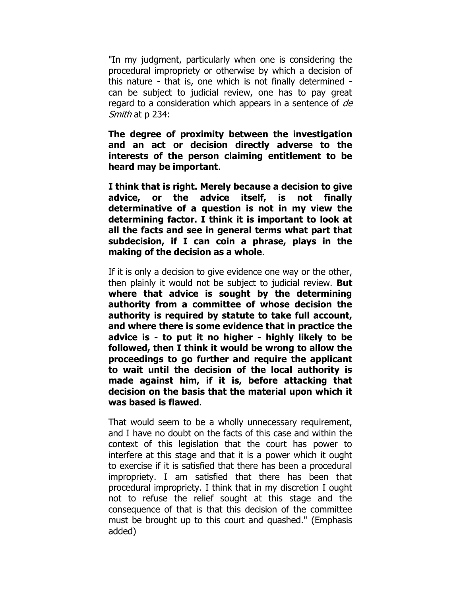"In my judgment, particularly when one is considering the procedural impropriety or otherwise by which a decision of this nature - that is, one which is not finally determined can be subject to judicial review, one has to pay great regard to a consideration which appears in a sentence of de Smith at p 234:

**The degree of proximity between the investigation and an act or decision directly adverse to the interests of the person claiming entitlement to be heard may be important**.

**I think that is right. Merely because a decision to give advice, or the advice itself, is not finally determinative of a question is not in my view the determining factor. I think it is important to look at all the facts and see in general terms what part that subdecision, if I can coin a phrase, plays in the making of the decision as a whole**.

If it is only a decision to give evidence one way or the other, then plainly it would not be subject to judicial review. **But where that advice is sought by the determining authority from a committee of whose decision the authority is required by statute to take full account, and where there is some evidence that in practice the advice is - to put it no higher - highly likely to be followed, then I think it would be wrong to allow the proceedings to go further and require the applicant to wait until the decision of the local authority is made against him, if it is, before attacking that decision on the basis that the material upon which it was based is flawed**.

That would seem to be a wholly unnecessary requirement, and I have no doubt on the facts of this case and within the context of this legislation that the court has power to interfere at this stage and that it is a power which it ought to exercise if it is satisfied that there has been a procedural impropriety. I am satisfied that there has been that procedural impropriety. I think that in my discretion I ought not to refuse the relief sought at this stage and the consequence of that is that this decision of the committee must be brought up to this court and quashed." (Emphasis added)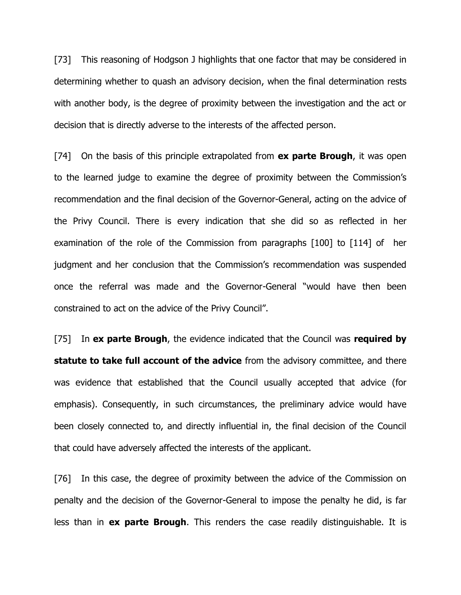[73] This reasoning of Hodgson J highlights that one factor that may be considered in determining whether to quash an advisory decision, when the final determination rests with another body, is the degree of proximity between the investigation and the act or decision that is directly adverse to the interests of the affected person.

[74] On the basis of this principle extrapolated from **ex parte Brough**, it was open to the learned judge to examine the degree of proximity between the Commission's recommendation and the final decision of the Governor-General, acting on the advice of the Privy Council. There is every indication that she did so as reflected in her examination of the role of the Commission from paragraphs [100] to [114] of her judgment and her conclusion that the Commission's recommendation was suspended once the referral was made and the Governor-General "would have then been constrained to act on the advice of the Privy Council".

[75] In **ex parte Brough**, the evidence indicated that the Council was **required by statute to take full account of the advice** from the advisory committee, and there was evidence that established that the Council usually accepted that advice (for emphasis). Consequently, in such circumstances, the preliminary advice would have been closely connected to, and directly influential in, the final decision of the Council that could have adversely affected the interests of the applicant.

[76] In this case, the degree of proximity between the advice of the Commission on penalty and the decision of the Governor-General to impose the penalty he did, is far less than in **ex parte Brough**. This renders the case readily distinguishable. It is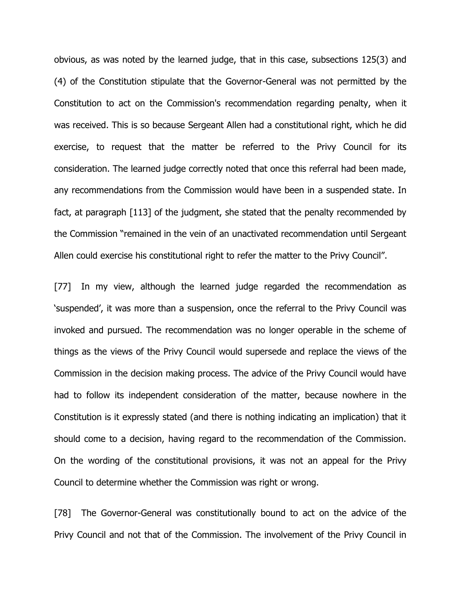obvious, as was noted by the learned judge, that in this case, subsections 125(3) and (4) of the Constitution stipulate that the Governor-General was not permitted by the Constitution to act on the Commission's recommendation regarding penalty, when it was received. This is so because Sergeant Allen had a constitutional right, which he did exercise, to request that the matter be referred to the Privy Council for its consideration. The learned judge correctly noted that once this referral had been made, any recommendations from the Commission would have been in a suspended state. In fact, at paragraph [113] of the judgment, she stated that the penalty recommended by the Commission "remained in the vein of an unactivated recommendation until Sergeant Allen could exercise his constitutional right to refer the matter to the Privy Council".

[77] In my view, although the learned judge regarded the recommendation as 'suspended', it was more than a suspension, once the referral to the Privy Council was invoked and pursued. The recommendation was no longer operable in the scheme of things as the views of the Privy Council would supersede and replace the views of the Commission in the decision making process. The advice of the Privy Council would have had to follow its independent consideration of the matter, because nowhere in the Constitution is it expressly stated (and there is nothing indicating an implication) that it should come to a decision, having regard to the recommendation of the Commission. On the wording of the constitutional provisions, it was not an appeal for the Privy Council to determine whether the Commission was right or wrong.

[78] The Governor-General was constitutionally bound to act on the advice of the Privy Council and not that of the Commission. The involvement of the Privy Council in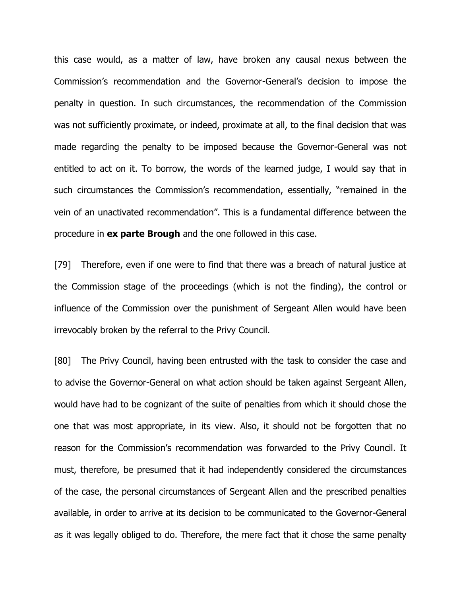this case would, as a matter of law, have broken any causal nexus between the Commission's recommendation and the Governor-General's decision to impose the penalty in question. In such circumstances, the recommendation of the Commission was not sufficiently proximate, or indeed, proximate at all, to the final decision that was made regarding the penalty to be imposed because the Governor-General was not entitled to act on it. To borrow, the words of the learned judge, I would say that in such circumstances the Commission's recommendation, essentially, "remained in the vein of an unactivated recommendation". This is a fundamental difference between the procedure in **ex parte Brough** and the one followed in this case.

[79] Therefore, even if one were to find that there was a breach of natural justice at the Commission stage of the proceedings (which is not the finding), the control or influence of the Commission over the punishment of Sergeant Allen would have been irrevocably broken by the referral to the Privy Council.

[80] The Privy Council, having been entrusted with the task to consider the case and to advise the Governor-General on what action should be taken against Sergeant Allen, would have had to be cognizant of the suite of penalties from which it should chose the one that was most appropriate, in its view. Also, it should not be forgotten that no reason for the Commission's recommendation was forwarded to the Privy Council. It must, therefore, be presumed that it had independently considered the circumstances of the case, the personal circumstances of Sergeant Allen and the prescribed penalties available, in order to arrive at its decision to be communicated to the Governor-General as it was legally obliged to do. Therefore, the mere fact that it chose the same penalty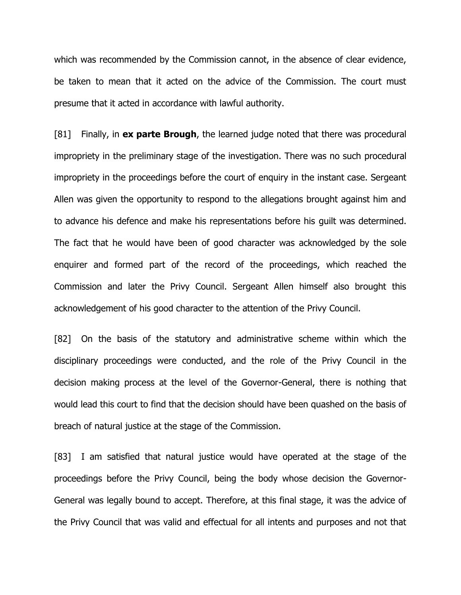which was recommended by the Commission cannot, in the absence of clear evidence, be taken to mean that it acted on the advice of the Commission. The court must presume that it acted in accordance with lawful authority.

[81] Finally, in **ex parte Brough**, the learned judge noted that there was procedural impropriety in the preliminary stage of the investigation. There was no such procedural impropriety in the proceedings before the court of enquiry in the instant case. Sergeant Allen was given the opportunity to respond to the allegations brought against him and to advance his defence and make his representations before his guilt was determined. The fact that he would have been of good character was acknowledged by the sole enquirer and formed part of the record of the proceedings, which reached the Commission and later the Privy Council. Sergeant Allen himself also brought this acknowledgement of his good character to the attention of the Privy Council.

[82] On the basis of the statutory and administrative scheme within which the disciplinary proceedings were conducted, and the role of the Privy Council in the decision making process at the level of the Governor-General, there is nothing that would lead this court to find that the decision should have been quashed on the basis of breach of natural justice at the stage of the Commission.

[83] I am satisfied that natural justice would have operated at the stage of the proceedings before the Privy Council, being the body whose decision the Governor-General was legally bound to accept. Therefore, at this final stage, it was the advice of the Privy Council that was valid and effectual for all intents and purposes and not that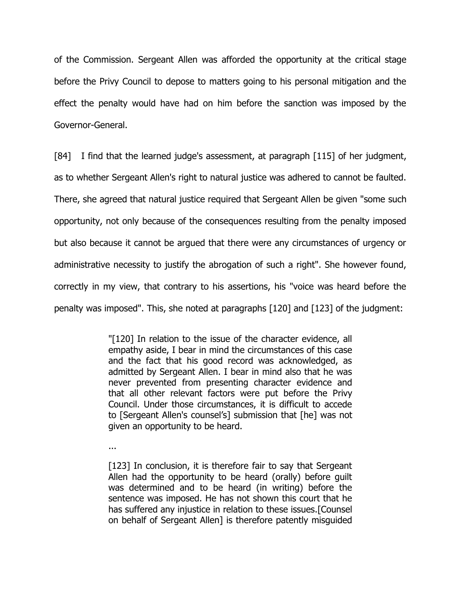of the Commission. Sergeant Allen was afforded the opportunity at the critical stage before the Privy Council to depose to matters going to his personal mitigation and the effect the penalty would have had on him before the sanction was imposed by the Governor-General.

[84] I find that the learned judge's assessment, at paragraph [115] of her judgment, as to whether Sergeant Allen's right to natural justice was adhered to cannot be faulted. There, she agreed that natural justice required that Sergeant Allen be given "some such opportunity, not only because of the consequences resulting from the penalty imposed but also because it cannot be argued that there were any circumstances of urgency or administrative necessity to justify the abrogation of such a right". She however found, correctly in my view, that contrary to his assertions, his "voice was heard before the penalty was imposed". This, she noted at paragraphs [120] and [123] of the judgment:

> "[120] In relation to the issue of the character evidence, all empathy aside, I bear in mind the circumstances of this case and the fact that his good record was acknowledged, as admitted by Sergeant Allen. I bear in mind also that he was never prevented from presenting character evidence and that all other relevant factors were put before the Privy Council. Under those circumstances, it is difficult to accede to [Sergeant Allen's counsel's] submission that [he] was not given an opportunity to be heard.

...

[123] In conclusion, it is therefore fair to say that Sergeant Allen had the opportunity to be heard (orally) before guilt was determined and to be heard (in writing) before the sentence was imposed. He has not shown this court that he has suffered any injustice in relation to these issues.[Counsel on behalf of Sergeant Allen] is therefore patently misguided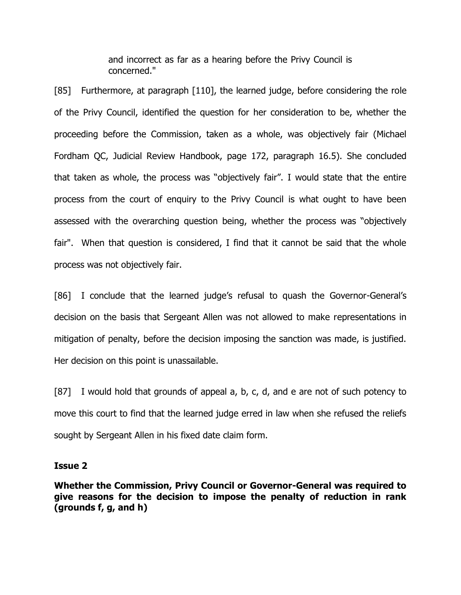and incorrect as far as a hearing before the Privy Council is concerned."

[85] Furthermore, at paragraph [110], the learned judge, before considering the role of the Privy Council, identified the question for her consideration to be, whether the proceeding before the Commission, taken as a whole, was objectively fair (Michael Fordham QC, Judicial Review Handbook, page 172, paragraph 16.5). She concluded that taken as whole, the process was "objectively fair". I would state that the entire process from the court of enquiry to the Privy Council is what ought to have been assessed with the overarching question being, whether the process was "objectively fair". When that question is considered, I find that it cannot be said that the whole process was not objectively fair.

[86] I conclude that the learned judge's refusal to quash the Governor-General's decision on the basis that Sergeant Allen was not allowed to make representations in mitigation of penalty, before the decision imposing the sanction was made, is justified. Her decision on this point is unassailable.

[87] I would hold that grounds of appeal a, b, c, d, and e are not of such potency to move this court to find that the learned judge erred in law when she refused the reliefs sought by Sergeant Allen in his fixed date claim form.

### **Issue 2**

**Whether the Commission, Privy Council or Governor-General was required to give reasons for the decision to impose the penalty of reduction in rank (grounds f, g, and h)**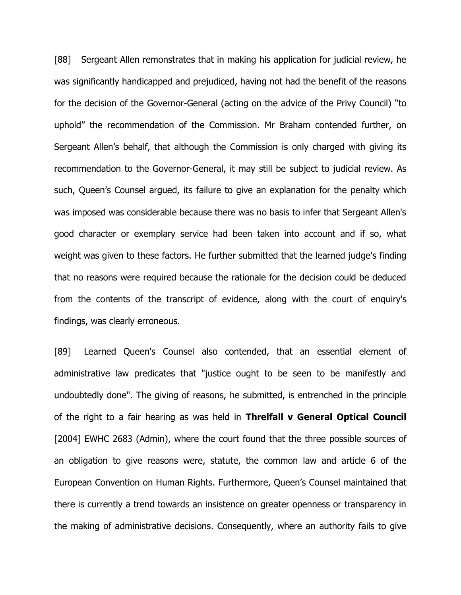[88] Sergeant Allen remonstrates that in making his application for judicial review, he was significantly handicapped and prejudiced, having not had the benefit of the reasons for the decision of the Governor-General (acting on the advice of the Privy Council) "to uphold" the recommendation of the Commission. Mr Braham contended further, on Sergeant Allen's behalf, that although the Commission is only charged with giving its recommendation to the Governor-General, it may still be subject to judicial review. As such, Queen's Counsel argued, its failure to give an explanation for the penalty which was imposed was considerable because there was no basis to infer that Sergeant Allen's good character or exemplary service had been taken into account and if so, what weight was given to these factors. He further submitted that the learned judge's finding that no reasons were required because the rationale for the decision could be deduced from the contents of the transcript of evidence, along with the court of enquiry's findings, was clearly erroneous.

[89] Learned Queen's Counsel also contended, that an essential element of administrative law predicates that "justice ought to be seen to be manifestly and undoubtedly done". The giving of reasons, he submitted, is entrenched in the principle of the right to a fair hearing as was held in **Threlfall v General Optical Council** [2004] EWHC 2683 (Admin), where the court found that the three possible sources of an obligation to give reasons were, statute, the common law and article 6 of the European Convention on Human Rights. Furthermore, Queen's Counsel maintained that there is currently a trend towards an insistence on greater openness or transparency in the making of administrative decisions. Consequently, where an authority fails to give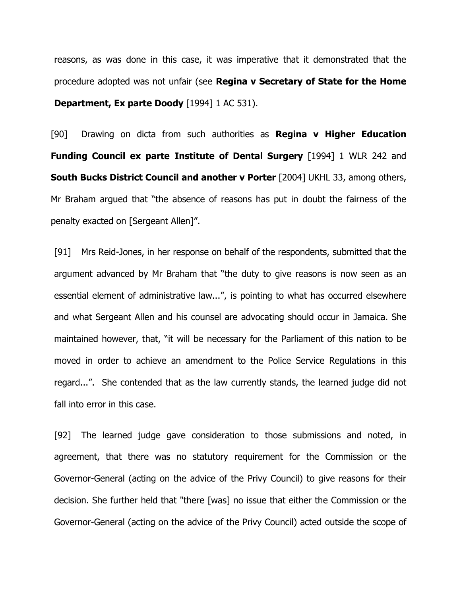reasons, as was done in this case, it was imperative that it demonstrated that the procedure adopted was not unfair (see **Regina v Secretary of State for the Home Department, Ex parte Doody** [1994] 1 AC 531).

[90] Drawing on dicta from such authorities as **Regina v Higher Education Funding Council ex parte Institute of Dental Surgery** [1994] 1 WLR 242 and **South Bucks District Council and another v Porter** [2004] UKHL 33, among others, Mr Braham argued that "the absence of reasons has put in doubt the fairness of the penalty exacted on [Sergeant Allen]".

[91] Mrs Reid-Jones, in her response on behalf of the respondents, submitted that the argument advanced by Mr Braham that "the duty to give reasons is now seen as an essential element of administrative law...", is pointing to what has occurred elsewhere and what Sergeant Allen and his counsel are advocating should occur in Jamaica. She maintained however, that, "it will be necessary for the Parliament of this nation to be moved in order to achieve an amendment to the Police Service Regulations in this regard...". She contended that as the law currently stands, the learned judge did not fall into error in this case.

[92] The learned judge gave consideration to those submissions and noted, in agreement, that there was no statutory requirement for the Commission or the Governor-General (acting on the advice of the Privy Council) to give reasons for their decision. She further held that "there [was] no issue that either the Commission or the Governor-General (acting on the advice of the Privy Council) acted outside the scope of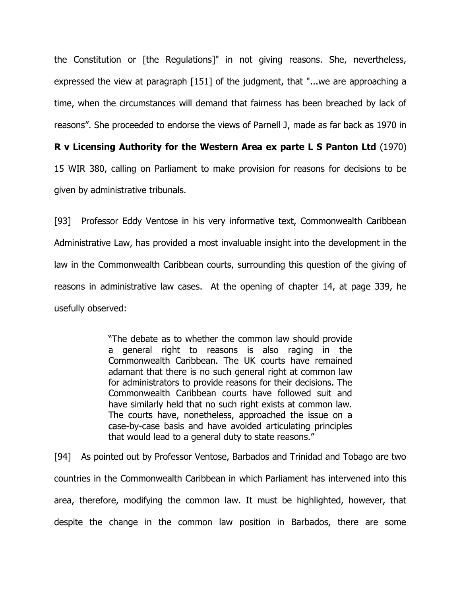the Constitution or [the Regulations]" in not giving reasons. She, nevertheless, expressed the view at paragraph [151] of the judgment, that "...we are approaching a time, when the circumstances will demand that fairness has been breached by lack of reasons". She proceeded to endorse the views of Parnell J, made as far back as 1970 in

**R v Licensing Authority for the Western Area ex parte L S Panton Ltd** (1970)

15 WIR 380, calling on Parliament to make provision for reasons for decisions to be given by administrative tribunals.

[93] Professor Eddy Ventose in his very informative text, Commonwealth Caribbean Administrative Law, has provided a most invaluable insight into the development in the law in the Commonwealth Caribbean courts, surrounding this question of the giving of reasons in administrative law cases. At the opening of chapter 14, at page 339, he usefully observed:

> "The debate as to whether the common law should provide a general right to reasons is also raging in the Commonwealth Caribbean. The UK courts have remained adamant that there is no such general right at common law for administrators to provide reasons for their decisions. The Commonwealth Caribbean courts have followed suit and have similarly held that no such right exists at common law. The courts have, nonetheless, approached the issue on a case-by-case basis and have avoided articulating principles that would lead to a general duty to state reasons."

[94] As pointed out by Professor Ventose, Barbados and Trinidad and Tobago are two countries in the Commonwealth Caribbean in which Parliament has intervened into this area, therefore, modifying the common law. It must be highlighted, however, that despite the change in the common law position in Barbados, there are some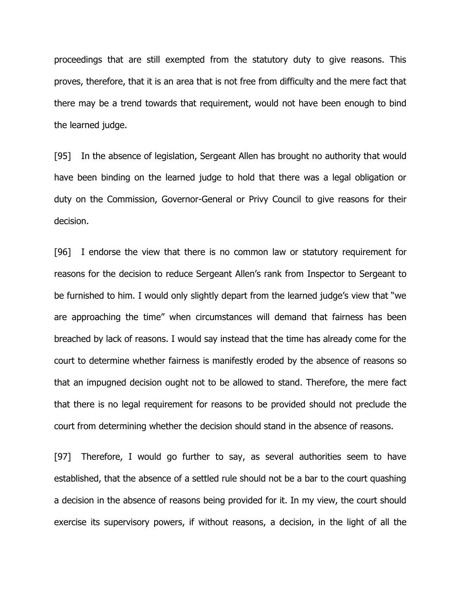proceedings that are still exempted from the statutory duty to give reasons. This proves, therefore, that it is an area that is not free from difficulty and the mere fact that there may be a trend towards that requirement, would not have been enough to bind the learned judge.

[95] In the absence of legislation, Sergeant Allen has brought no authority that would have been binding on the learned judge to hold that there was a legal obligation or duty on the Commission, Governor-General or Privy Council to give reasons for their decision.

[96] I endorse the view that there is no common law or statutory requirement for reasons for the decision to reduce Sergeant Allen's rank from Inspector to Sergeant to be furnished to him. I would only slightly depart from the learned judge's view that "we are approaching the time" when circumstances will demand that fairness has been breached by lack of reasons. I would say instead that the time has already come for the court to determine whether fairness is manifestly eroded by the absence of reasons so that an impugned decision ought not to be allowed to stand. Therefore, the mere fact that there is no legal requirement for reasons to be provided should not preclude the court from determining whether the decision should stand in the absence of reasons.

[97] Therefore, I would go further to say, as several authorities seem to have established, that the absence of a settled rule should not be a bar to the court quashing a decision in the absence of reasons being provided for it. In my view, the court should exercise its supervisory powers, if without reasons, a decision, in the light of all the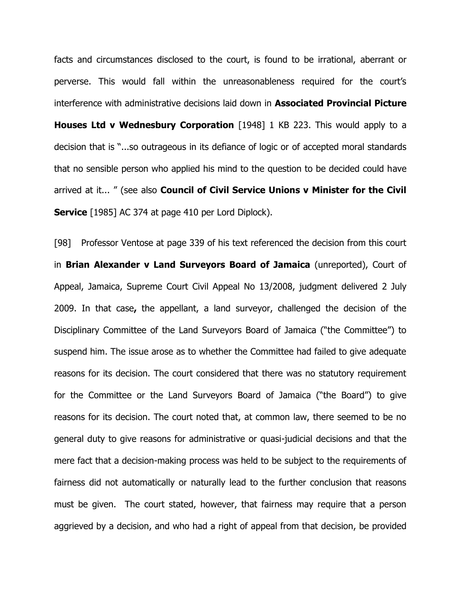facts and circumstances disclosed to the court, is found to be irrational, aberrant or perverse. This would fall within the unreasonableness required for the court's interference with administrative decisions laid down in **Associated Provincial Picture Houses Ltd v Wednesbury Corporation** [1948] 1 KB 223. This would apply to a decision that is "...so outrageous in its defiance of logic or of accepted moral standards that no sensible person who applied his mind to the question to be decided could have arrived at it... " (see also **Council of Civil Service Unions v Minister for the Civil Service** [1985] AC 374 at page 410 per Lord Diplock).

[98] Professor Ventose at page 339 of his text referenced the decision from this court in **Brian Alexander v Land Surveyors Board of Jamaica** (unreported), Court of Appeal, Jamaica, Supreme Court Civil Appeal No 13/2008, judgment delivered 2 July 2009. In that case**,** the appellant, a land surveyor, challenged the decision of the Disciplinary Committee of the Land Surveyors Board of Jamaica ("the Committee") to suspend him. The issue arose as to whether the Committee had failed to give adequate reasons for its decision. The court considered that there was no statutory requirement for the Committee or the Land Surveyors Board of Jamaica ("the Board") to give reasons for its decision. The court noted that, at common law, there seemed to be no general duty to give reasons for administrative or quasi-judicial decisions and that the mere fact that a decision-making process was held to be subject to the requirements of fairness did not automatically or naturally lead to the further conclusion that reasons must be given. The court stated, however, that fairness may require that a person aggrieved by a decision, and who had a right of appeal from that decision, be provided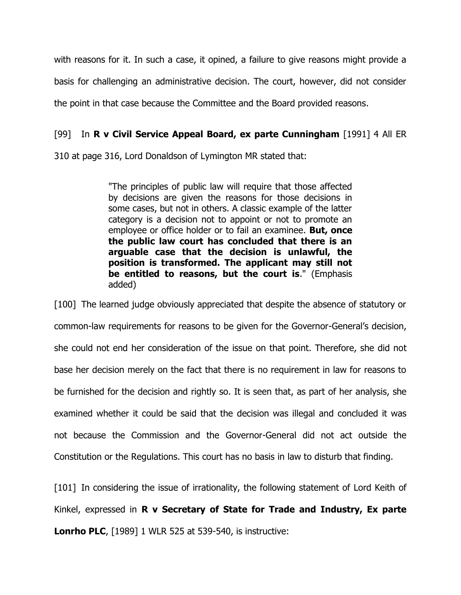with reasons for it. In such a case, it opined, a failure to give reasons might provide a basis for challenging an administrative decision. The court, however, did not consider the point in that case because the Committee and the Board provided reasons.

## [99] In **R v Civil Service Appeal Board, ex parte Cunningham** [1991] 4 All ER

310 at page 316, Lord Donaldson of Lymington MR stated that:

"The principles of public law will require that those affected by decisions are given the reasons for those decisions in some cases, but not in others. A classic example of the latter category is a decision not to appoint or not to promote an employee or office holder or to fail an examinee. **But, once the public law court has concluded that there is an arguable case that the decision is unlawful, the position is transformed. The applicant may still not be entitled to reasons, but the court is**." (Emphasis added)

[100] The learned judge obviously appreciated that despite the absence of statutory or common-law requirements for reasons to be given for the Governor-General's decision, she could not end her consideration of the issue on that point. Therefore, she did not base her decision merely on the fact that there is no requirement in law for reasons to be furnished for the decision and rightly so. It is seen that, as part of her analysis, she examined whether it could be said that the decision was illegal and concluded it was not because the Commission and the Governor-General did not act outside the Constitution or the Regulations. This court has no basis in law to disturb that finding.

[101] In considering the issue of irrationality, the following statement of Lord Keith of Kinkel, expressed in **R v Secretary of State for Trade and Industry, Ex parte Lonrho PLC**, [1989] 1 WLR 525 at 539-540, is instructive: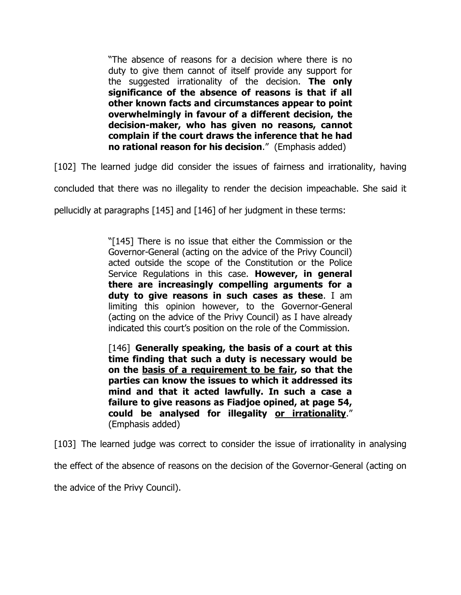"The absence of reasons for a decision where there is no duty to give them cannot of itself provide any support for the suggested irrationality of the decision. **The only significance of the absence of reasons is that if all other known facts and circumstances appear to point overwhelmingly in favour of a different decision, the decision-maker, who has given no reasons, cannot complain if the court draws the inference that he had no rational reason for his decision**." (Emphasis added)

[102] The learned judge did consider the issues of fairness and irrationality, having

concluded that there was no illegality to render the decision impeachable. She said it

pellucidly at paragraphs [145] and [146] of her judgment in these terms:

"[145] There is no issue that either the Commission or the Governor-General (acting on the advice of the Privy Council) acted outside the scope of the Constitution or the Police Service Regulations in this case. **However, in general there are increasingly compelling arguments for a duty to give reasons in such cases as these**. I am limiting this opinion however, to the Governor-General (acting on the advice of the Privy Council) as I have already indicated this court's position on the role of the Commission.

[146] **Generally speaking, the basis of a court at this time finding that such a duty is necessary would be on the basis of a requirement to be fair, so that the parties can know the issues to which it addressed its mind and that it acted lawfully. In such a case a failure to give reasons as Fiadjoe opined, at page 54, could be analysed for illegality or irrationality**." (Emphasis added)

[103] The learned judge was correct to consider the issue of irrationality in analysing

the effect of the absence of reasons on the decision of the Governor-General (acting on

the advice of the Privy Council).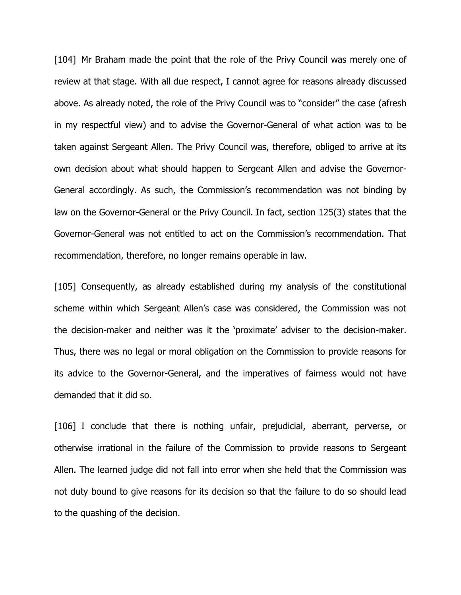[104] Mr Braham made the point that the role of the Privy Council was merely one of review at that stage. With all due respect, I cannot agree for reasons already discussed above. As already noted, the role of the Privy Council was to "consider" the case (afresh in my respectful view) and to advise the Governor-General of what action was to be taken against Sergeant Allen. The Privy Council was, therefore, obliged to arrive at its own decision about what should happen to Sergeant Allen and advise the Governor-General accordingly. As such, the Commission's recommendation was not binding by law on the Governor-General or the Privy Council. In fact, section 125(3) states that the Governor-General was not entitled to act on the Commission's recommendation. That recommendation, therefore, no longer remains operable in law.

[105] Consequently, as already established during my analysis of the constitutional scheme within which Sergeant Allen's case was considered, the Commission was not the decision-maker and neither was it the 'proximate' adviser to the decision-maker. Thus, there was no legal or moral obligation on the Commission to provide reasons for its advice to the Governor-General, and the imperatives of fairness would not have demanded that it did so.

[106] I conclude that there is nothing unfair, prejudicial, aberrant, perverse, or otherwise irrational in the failure of the Commission to provide reasons to Sergeant Allen. The learned judge did not fall into error when she held that the Commission was not duty bound to give reasons for its decision so that the failure to do so should lead to the quashing of the decision.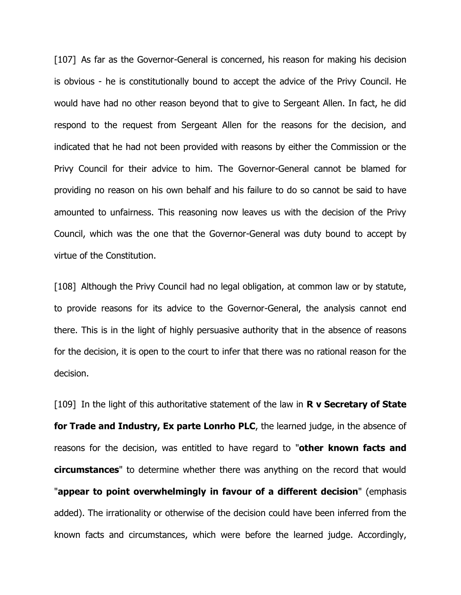[107] As far as the Governor-General is concerned, his reason for making his decision is obvious - he is constitutionally bound to accept the advice of the Privy Council. He would have had no other reason beyond that to give to Sergeant Allen. In fact, he did respond to the request from Sergeant Allen for the reasons for the decision, and indicated that he had not been provided with reasons by either the Commission or the Privy Council for their advice to him. The Governor-General cannot be blamed for providing no reason on his own behalf and his failure to do so cannot be said to have amounted to unfairness. This reasoning now leaves us with the decision of the Privy Council, which was the one that the Governor-General was duty bound to accept by virtue of the Constitution.

[108] Although the Privy Council had no legal obligation, at common law or by statute, to provide reasons for its advice to the Governor-General, the analysis cannot end there. This is in the light of highly persuasive authority that in the absence of reasons for the decision, it is open to the court to infer that there was no rational reason for the decision.

[109] In the light of this authoritative statement of the law in **R v Secretary of State for Trade and Industry, Ex parte Lonrho PLC**, the learned judge, in the absence of reasons for the decision, was entitled to have regard to "**other known facts and circumstances**" to determine whether there was anything on the record that would "**appear to point overwhelmingly in favour of a different decision**" (emphasis added). The irrationality or otherwise of the decision could have been inferred from the known facts and circumstances, which were before the learned judge. Accordingly,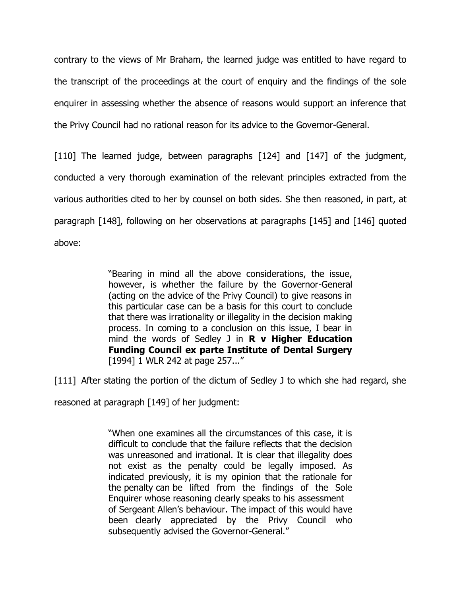contrary to the views of Mr Braham, the learned judge was entitled to have regard to the transcript of the proceedings at the court of enquiry and the findings of the sole enquirer in assessing whether the absence of reasons would support an inference that the Privy Council had no rational reason for its advice to the Governor-General.

[110] The learned judge, between paragraphs [124] and [147] of the judgment, conducted a very thorough examination of the relevant principles extracted from the various authorities cited to her by counsel on both sides. She then reasoned, in part, at paragraph [148], following on her observations at paragraphs [145] and [146] quoted above:

> "Bearing in mind all the above considerations, the issue, however, is whether the failure by the Governor-General (acting on the advice of the Privy Council) to give reasons in this particular case can be a basis for this court to conclude that there was irrationality or illegality in the decision making process. In coming to a conclusion on this issue, I bear in mind the words of Sedley J in **R v Higher Education Funding Council ex parte Institute of Dental Surgery** [1994] 1 WLR 242 at page 257..."

[111] After stating the portion of the dictum of Sedley J to which she had regard, she

reasoned at paragraph [149] of her judgment:

"When one examines all the circumstances of this case, it is difficult to conclude that the failure reflects that the decision was unreasoned and irrational. It is clear that illegality does not exist as the penalty could be legally imposed. As indicated previously, it is my opinion that the rationale for the penalty can be lifted from the findings of the Sole Enquirer whose reasoning clearly speaks to his assessment of Sergeant Allen's behaviour. The impact of this would have been clearly appreciated by the Privy Council who subsequently advised the Governor-General."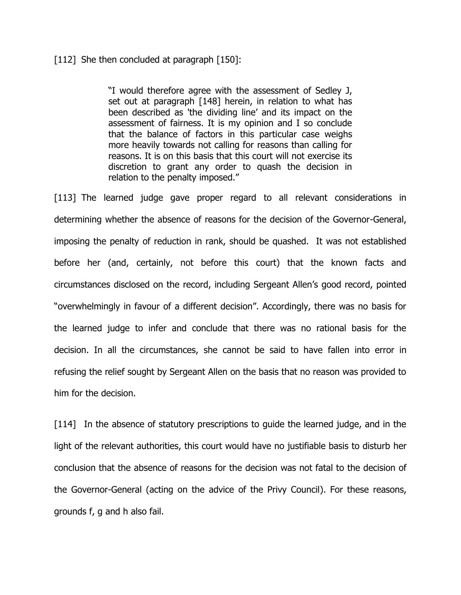### [112] She then concluded at paragraph [150]:

"I would therefore agree with the assessment of Sedley J, set out at paragraph [148] herein, in relation to what has been described as 'the dividing line' and its impact on the assessment of fairness. It is my opinion and I so conclude that the balance of factors in this particular case weighs more heavily towards not calling for reasons than calling for reasons. It is on this basis that this court will not exercise its discretion to grant any order to quash the decision in relation to the penalty imposed."

[113] The learned judge gave proper regard to all relevant considerations in determining whether the absence of reasons for the decision of the Governor-General, imposing the penalty of reduction in rank, should be quashed. It was not established before her (and, certainly, not before this court) that the known facts and circumstances disclosed on the record, including Sergeant Allen's good record, pointed "overwhelmingly in favour of a different decision". Accordingly, there was no basis for the learned judge to infer and conclude that there was no rational basis for the decision. In all the circumstances, she cannot be said to have fallen into error in refusing the relief sought by Sergeant Allen on the basis that no reason was provided to him for the decision.

[114] In the absence of statutory prescriptions to guide the learned judge, and in the light of the relevant authorities, this court would have no justifiable basis to disturb her conclusion that the absence of reasons for the decision was not fatal to the decision of the Governor-General (acting on the advice of the Privy Council). For these reasons, grounds f, g and h also fail.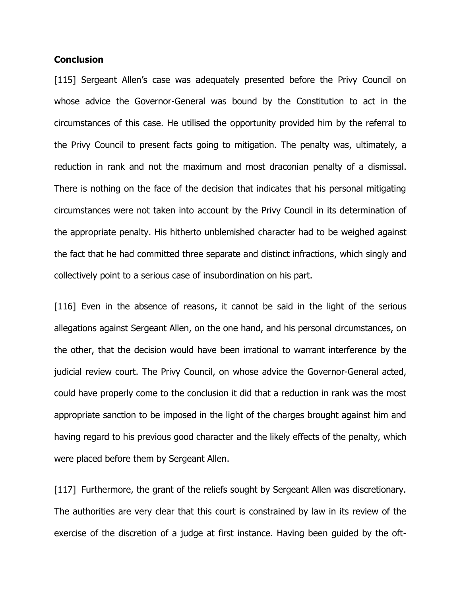### **Conclusion**

[115] Sergeant Allen's case was adequately presented before the Privy Council on whose advice the Governor-General was bound by the Constitution to act in the circumstances of this case. He utilised the opportunity provided him by the referral to the Privy Council to present facts going to mitigation. The penalty was, ultimately, a reduction in rank and not the maximum and most draconian penalty of a dismissal. There is nothing on the face of the decision that indicates that his personal mitigating circumstances were not taken into account by the Privy Council in its determination of the appropriate penalty. His hitherto unblemished character had to be weighed against the fact that he had committed three separate and distinct infractions, which singly and collectively point to a serious case of insubordination on his part.

[116] Even in the absence of reasons, it cannot be said in the light of the serious allegations against Sergeant Allen, on the one hand, and his personal circumstances, on the other, that the decision would have been irrational to warrant interference by the judicial review court. The Privy Council, on whose advice the Governor-General acted, could have properly come to the conclusion it did that a reduction in rank was the most appropriate sanction to be imposed in the light of the charges brought against him and having regard to his previous good character and the likely effects of the penalty, which were placed before them by Sergeant Allen.

[117] Furthermore, the grant of the reliefs sought by Sergeant Allen was discretionary. The authorities are very clear that this court is constrained by law in its review of the exercise of the discretion of a judge at first instance. Having been guided by the oft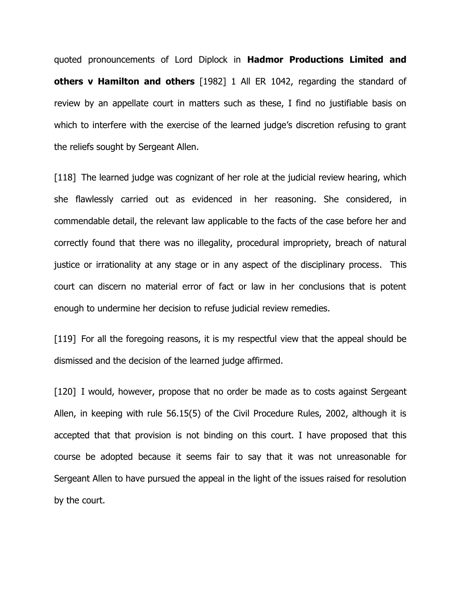quoted pronouncements of Lord Diplock in **Hadmor Productions Limited and others v Hamilton and others** [1982] 1 All ER 1042, regarding the standard of review by an appellate court in matters such as these, I find no justifiable basis on which to interfere with the exercise of the learned judge's discretion refusing to grant the reliefs sought by Sergeant Allen.

[118] The learned judge was cognizant of her role at the judicial review hearing, which she flawlessly carried out as evidenced in her reasoning. She considered, in commendable detail, the relevant law applicable to the facts of the case before her and correctly found that there was no illegality, procedural impropriety, breach of natural justice or irrationality at any stage or in any aspect of the disciplinary process. This court can discern no material error of fact or law in her conclusions that is potent enough to undermine her decision to refuse judicial review remedies.

[119] For all the foregoing reasons, it is my respectful view that the appeal should be dismissed and the decision of the learned judge affirmed.

[120] I would, however, propose that no order be made as to costs against Sergeant Allen, in keeping with rule 56.15(5) of the Civil Procedure Rules, 2002, although it is accepted that that provision is not binding on this court. I have proposed that this course be adopted because it seems fair to say that it was not unreasonable for Sergeant Allen to have pursued the appeal in the light of the issues raised for resolution by the court.